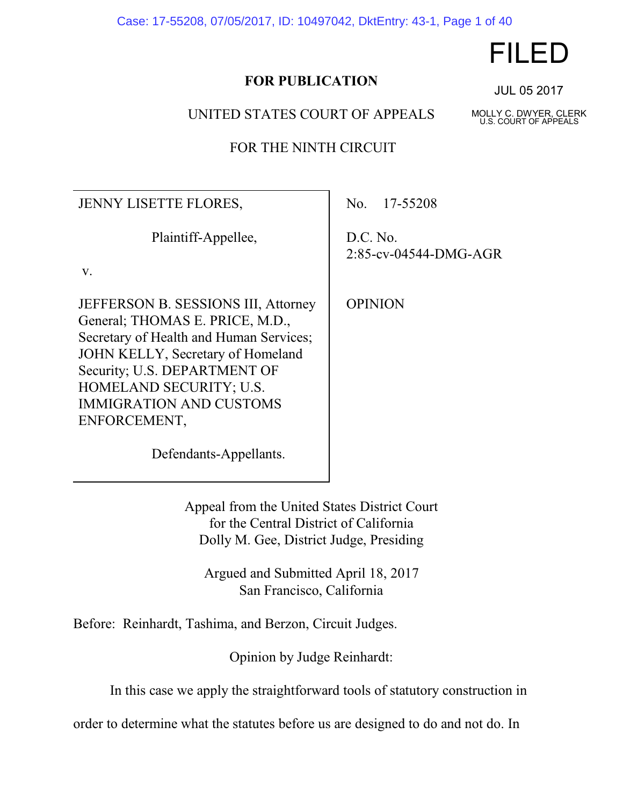Case: 17-55208, 07/05/2017, ID: 10497042, DktEntry: 43-1, Page 1 of 40

# **FOR PUBLICATION**

UNITED STATES COURT OF APPEALS

FOR THE NINTH CIRCUIT

| <b>JENNY LISETTE FLORES,</b>                                                                                                                                                                                                                                        | No. 17-55208                      |
|---------------------------------------------------------------------------------------------------------------------------------------------------------------------------------------------------------------------------------------------------------------------|-----------------------------------|
| Plaintiff-Appellee,<br>V.                                                                                                                                                                                                                                           | D.C. No.<br>2:85-cv-04544-DMG-AGR |
| JEFFERSON B. SESSIONS III, Attorney<br>General; THOMAS E. PRICE, M.D.,<br>Secretary of Health and Human Services;<br>JOHN KELLY, Secretary of Homeland<br>Security; U.S. DEPARTMENT OF<br>HOMELAND SECURITY; U.S.<br><b>IMMIGRATION AND CUSTOMS</b><br>ENFORCEMENT, | <b>OPINION</b>                    |
| Defendants-Appellants.                                                                                                                                                                                                                                              |                                   |

Appeal from the United States District Court for the Central District of California Dolly M. Gee, District Judge, Presiding

Argued and Submitted April 18, 2017 San Francisco, California

Before: Reinhardt, Tashima, and Berzon, Circuit Judges.

Opinion by Judge Reinhardt:

In this case we apply the straightforward tools of statutory construction in

order to determine what the statutes before us are designed to do and not do. In

JUL 05 2017

MOLLY C. DWYER, CLERK U.S. COURT OF APPEALS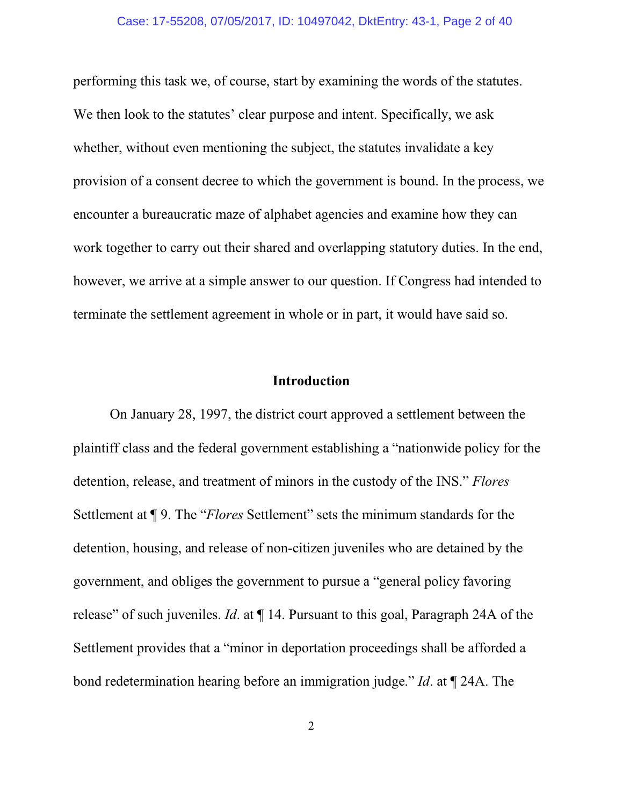performing this task we, of course, start by examining the words of the statutes. We then look to the statutes' clear purpose and intent. Specifically, we ask whether, without even mentioning the subject, the statutes invalidate a key provision of a consent decree to which the government is bound. In the process, we encounter a bureaucratic maze of alphabet agencies and examine how they can work together to carry out their shared and overlapping statutory duties. In the end, however, we arrive at a simple answer to our question. If Congress had intended to terminate the settlement agreement in whole or in part, it would have said so.

### **Introduction**

On January 28, 1997, the district court approved a settlement between the plaintiff class and the federal government establishing a "nationwide policy for the detention, release, and treatment of minors in the custody of the INS." *Flores* Settlement at ¶ 9. The "*Flores* Settlement" sets the minimum standards for the detention, housing, and release of non-citizen juveniles who are detained by the government, and obliges the government to pursue a "general policy favoring release" of such juveniles. *Id*. at ¶ 14. Pursuant to this goal, Paragraph 24A of the Settlement provides that a "minor in deportation proceedings shall be afforded a bond redetermination hearing before an immigration judge." *Id*. at ¶ 24A. The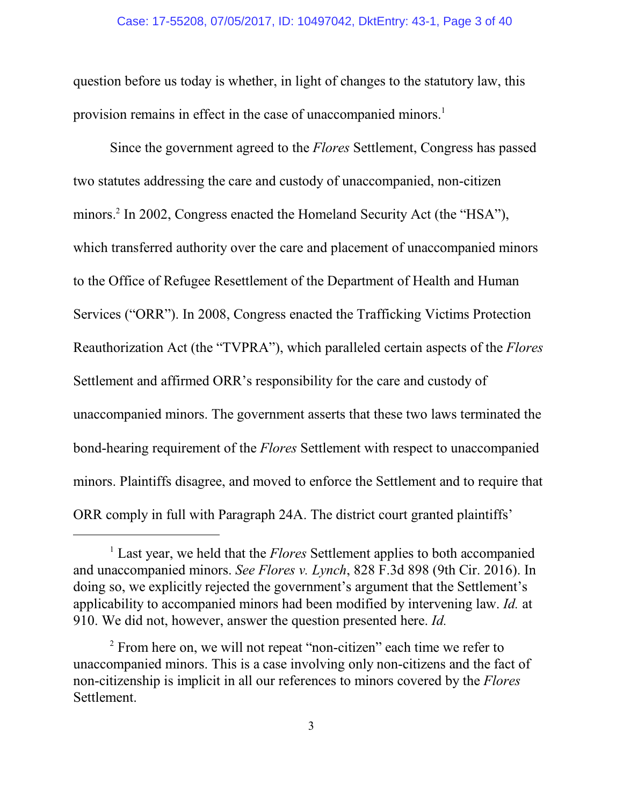### Case: 17-55208, 07/05/2017, ID: 10497042, DktEntry: 43-1, Page 3 of 40

question before us today is whether, in light of changes to the statutory law, this provision remains in effect in the case of unaccompanied minors.<sup>1</sup>

Since the government agreed to the *Flores* Settlement, Congress has passed two statutes addressing the care and custody of unaccompanied, non-citizen minors.<sup>2</sup> In 2002, Congress enacted the Homeland Security Act (the "HSA"), which transferred authority over the care and placement of unaccompanied minors to the Office of Refugee Resettlement of the Department of Health and Human Services ("ORR"). In 2008, Congress enacted the Trafficking Victims Protection Reauthorization Act (the "TVPRA"), which paralleled certain aspects of the *Flores* Settlement and affirmed ORR's responsibility for the care and custody of unaccompanied minors. The government asserts that these two laws terminated the bond-hearing requirement of the *Flores* Settlement with respect to unaccompanied minors. Plaintiffs disagree, and moved to enforce the Settlement and to require that ORR comply in full with Paragraph 24A. The district court granted plaintiffs'

<sup>&</sup>lt;sup>1</sup> Last year, we held that the *Flores* Settlement applies to both accompanied and unaccompanied minors. *See Flores v. Lynch*, 828 F.3d 898 (9th Cir. 2016). In doing so, we explicitly rejected the government's argument that the Settlement's applicability to accompanied minors had been modified by intervening law. *Id.* at 910. We did not, however, answer the question presented here. *Id.*

<sup>&</sup>lt;sup>2</sup> From here on, we will not repeat "non-citizen" each time we refer to unaccompanied minors. This is a case involving only non-citizens and the fact of non-citizenship is implicit in all our references to minors covered by the *Flores* Settlement.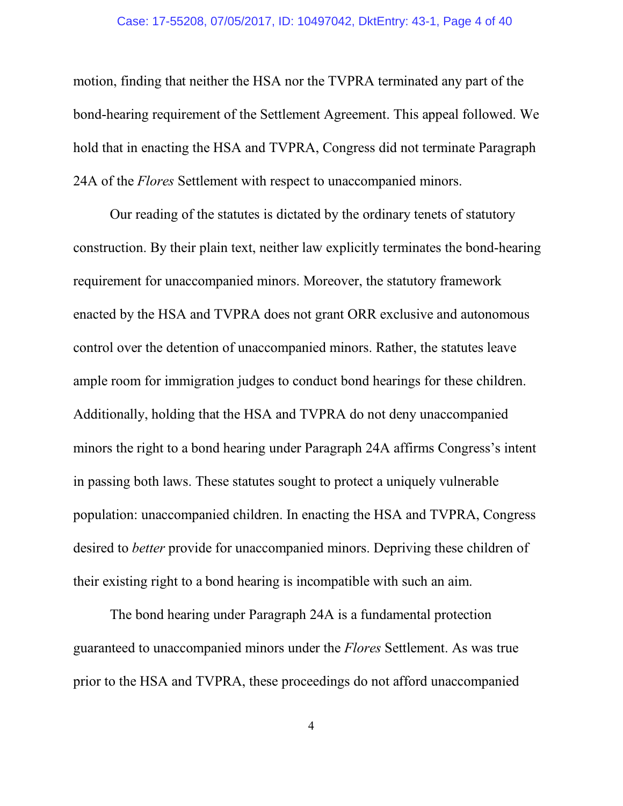### Case: 17-55208, 07/05/2017, ID: 10497042, DktEntry: 43-1, Page 4 of 40

motion, finding that neither the HSA nor the TVPRA terminated any part of the bond-hearing requirement of the Settlement Agreement. This appeal followed. We hold that in enacting the HSA and TVPRA, Congress did not terminate Paragraph 24A of the *Flores* Settlement with respect to unaccompanied minors.

Our reading of the statutes is dictated by the ordinary tenets of statutory construction. By their plain text, neither law explicitly terminates the bond-hearing requirement for unaccompanied minors. Moreover, the statutory framework enacted by the HSA and TVPRA does not grant ORR exclusive and autonomous control over the detention of unaccompanied minors. Rather, the statutes leave ample room for immigration judges to conduct bond hearings for these children. Additionally, holding that the HSA and TVPRA do not deny unaccompanied minors the right to a bond hearing under Paragraph 24A affirms Congress's intent in passing both laws. These statutes sought to protect a uniquely vulnerable population: unaccompanied children. In enacting the HSA and TVPRA, Congress desired to *better* provide for unaccompanied minors. Depriving these children of their existing right to a bond hearing is incompatible with such an aim.

The bond hearing under Paragraph 24A is a fundamental protection guaranteed to unaccompanied minors under the *Flores* Settlement. As was true prior to the HSA and TVPRA, these proceedings do not afford unaccompanied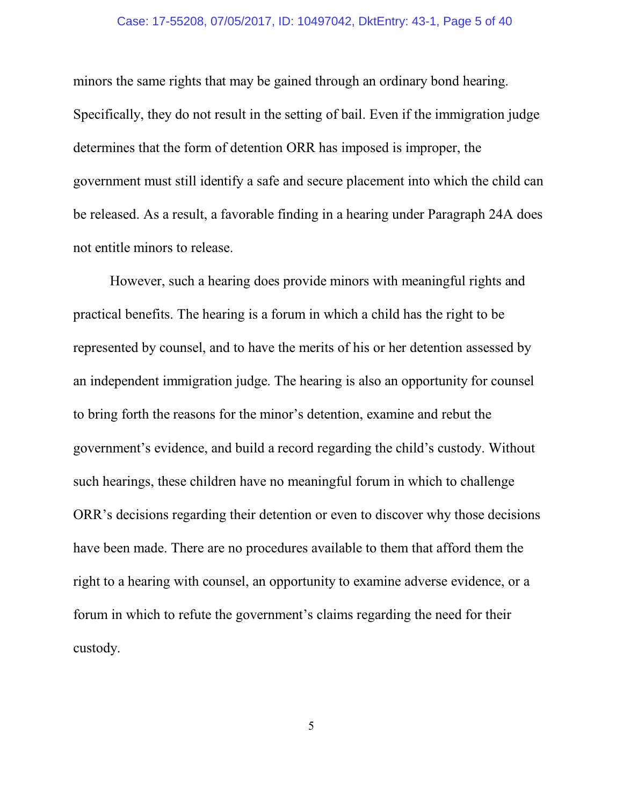### Case: 17-55208, 07/05/2017, ID: 10497042, DktEntry: 43-1, Page 5 of 40

minors the same rights that may be gained through an ordinary bond hearing. Specifically, they do not result in the setting of bail. Even if the immigration judge determines that the form of detention ORR has imposed is improper, the government must still identify a safe and secure placement into which the child can be released. As a result, a favorable finding in a hearing under Paragraph 24A does not entitle minors to release.

However, such a hearing does provide minors with meaningful rights and practical benefits. The hearing is a forum in which a child has the right to be represented by counsel, and to have the merits of his or her detention assessed by an independent immigration judge. The hearing is also an opportunity for counsel to bring forth the reasons for the minor's detention, examine and rebut the government's evidence, and build a record regarding the child's custody. Without such hearings, these children have no meaningful forum in which to challenge ORR's decisions regarding their detention or even to discover why those decisions have been made. There are no procedures available to them that afford them the right to a hearing with counsel, an opportunity to examine adverse evidence, or a forum in which to refute the government's claims regarding the need for their custody.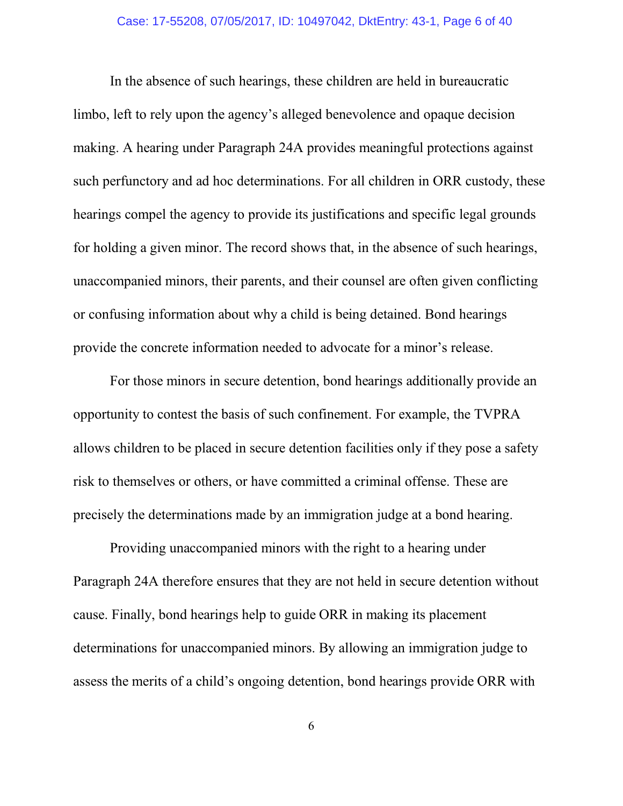In the absence of such hearings, these children are held in bureaucratic limbo, left to rely upon the agency's alleged benevolence and opaque decision making. A hearing under Paragraph 24A provides meaningful protections against such perfunctory and ad hoc determinations. For all children in ORR custody, these hearings compel the agency to provide its justifications and specific legal grounds for holding a given minor. The record shows that, in the absence of such hearings, unaccompanied minors, their parents, and their counsel are often given conflicting or confusing information about why a child is being detained. Bond hearings provide the concrete information needed to advocate for a minor's release.

For those minors in secure detention, bond hearings additionally provide an opportunity to contest the basis of such confinement. For example, the TVPRA allows children to be placed in secure detention facilities only if they pose a safety risk to themselves or others, or have committed a criminal offense. These are precisely the determinations made by an immigration judge at a bond hearing.

Providing unaccompanied minors with the right to a hearing under Paragraph 24A therefore ensures that they are not held in secure detention without cause. Finally, bond hearings help to guide ORR in making its placement determinations for unaccompanied minors. By allowing an immigration judge to assess the merits of a child's ongoing detention, bond hearings provide ORR with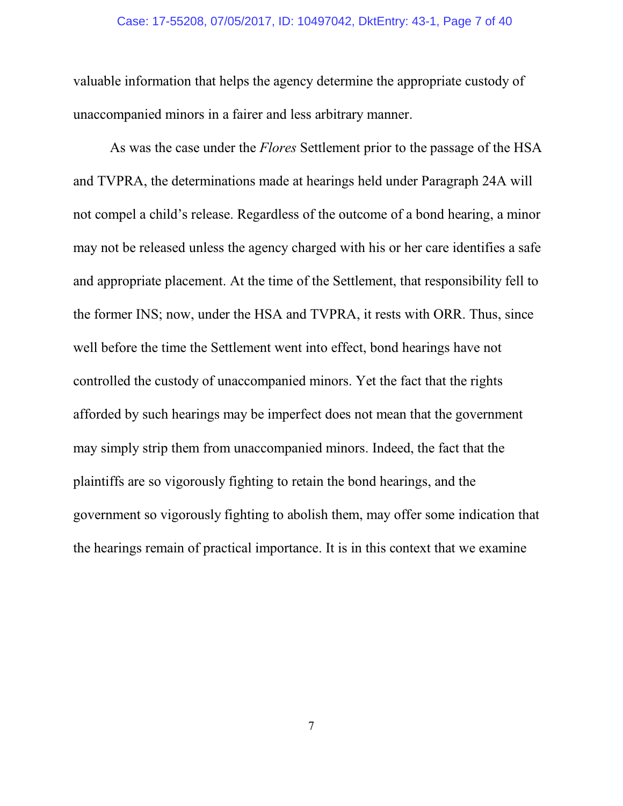### Case: 17-55208, 07/05/2017, ID: 10497042, DktEntry: 43-1, Page 7 of 40

valuable information that helps the agency determine the appropriate custody of unaccompanied minors in a fairer and less arbitrary manner.

As was the case under the *Flores* Settlement prior to the passage of the HSA and TVPRA, the determinations made at hearings held under Paragraph 24A will not compel a child's release. Regardless of the outcome of a bond hearing, a minor may not be released unless the agency charged with his or her care identifies a safe and appropriate placement. At the time of the Settlement, that responsibility fell to the former INS; now, under the HSA and TVPRA, it rests with ORR. Thus, since well before the time the Settlement went into effect, bond hearings have not controlled the custody of unaccompanied minors. Yet the fact that the rights afforded by such hearings may be imperfect does not mean that the government may simply strip them from unaccompanied minors. Indeed, the fact that the plaintiffs are so vigorously fighting to retain the bond hearings, and the government so vigorously fighting to abolish them, may offer some indication that the hearings remain of practical importance. It is in this context that we examine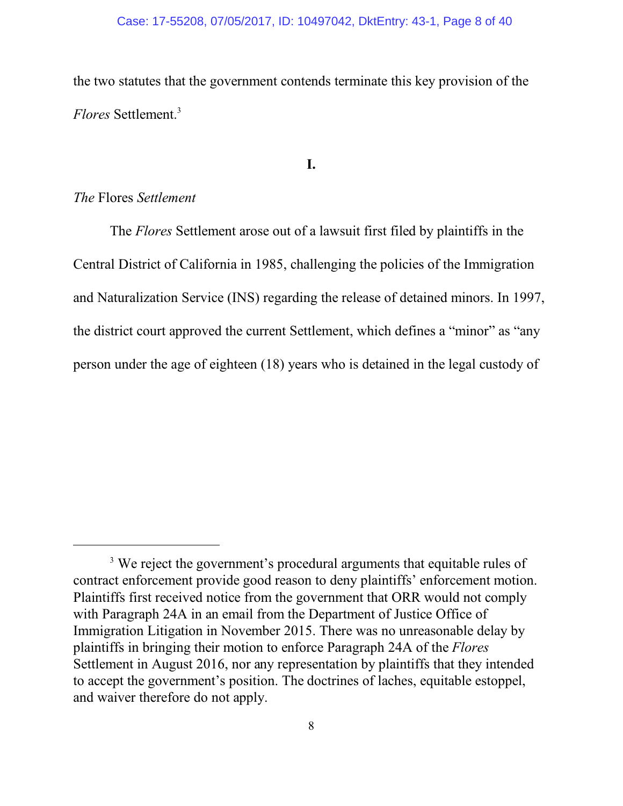the two statutes that the government contends terminate this key provision of the *Flores* Settlement.<sup>3</sup>

## **I.**

## *The* Flores *Settlement*

The *Flores* Settlement arose out of a lawsuit first filed by plaintiffs in the Central District of California in 1985, challenging the policies of the Immigration and Naturalization Service (INS) regarding the release of detained minors. In 1997, the district court approved the current Settlement, which defines a "minor" as "any person under the age of eighteen (18) years who is detained in the legal custody of

<sup>&</sup>lt;sup>3</sup> We reject the government's procedural arguments that equitable rules of contract enforcement provide good reason to deny plaintiffs' enforcement motion. Plaintiffs first received notice from the government that ORR would not comply with Paragraph 24A in an email from the Department of Justice Office of Immigration Litigation in November 2015. There was no unreasonable delay by plaintiffs in bringing their motion to enforce Paragraph 24A of the *Flores* Settlement in August 2016, nor any representation by plaintiffs that they intended to accept the government's position. The doctrines of laches, equitable estoppel, and waiver therefore do not apply.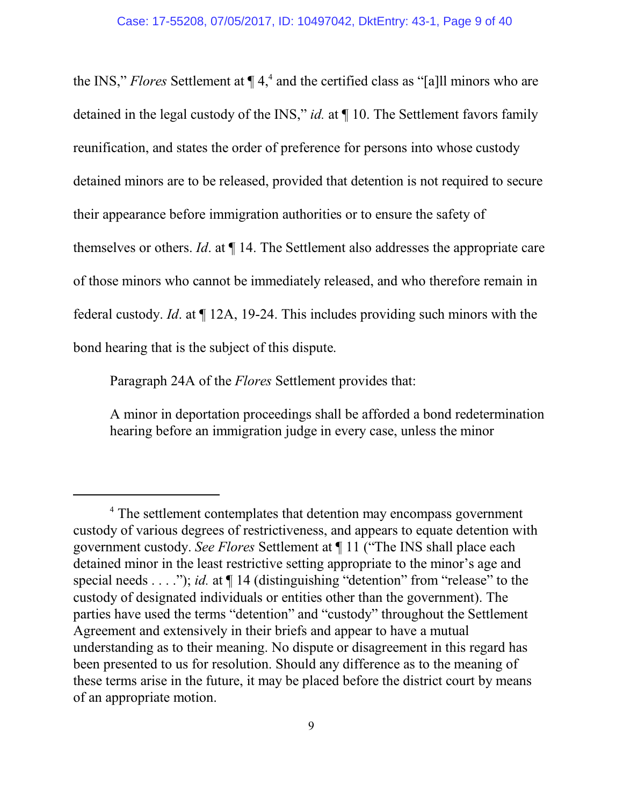the INS," *Flores* Settlement at  $\P$  4,<sup>4</sup> and the certified class as "[a]ll minors who are detained in the legal custody of the INS," *id.* at ¶ 10. The Settlement favors family reunification, and states the order of preference for persons into whose custody detained minors are to be released, provided that detention is not required to secure their appearance before immigration authorities or to ensure the safety of themselves or others. *Id*. at ¶ 14. The Settlement also addresses the appropriate care of those minors who cannot be immediately released, and who therefore remain in federal custody. *Id*. at ¶ 12A, 19-24. This includes providing such minors with the bond hearing that is the subject of this dispute.

Paragraph 24A of the *Flores* Settlement provides that:

A minor in deportation proceedings shall be afforded a bond redetermination hearing before an immigration judge in every case, unless the minor

<sup>&</sup>lt;sup>4</sup> The settlement contemplates that detention may encompass government custody of various degrees of restrictiveness, and appears to equate detention with government custody. *See Flores* Settlement at ¶ 11 ("The INS shall place each detained minor in the least restrictive setting appropriate to the minor's age and special needs . . . ."); *id.* at  $\P$  14 (distinguishing "detention" from "release" to the custody of designated individuals or entities other than the government). The parties have used the terms "detention" and "custody" throughout the Settlement Agreement and extensively in their briefs and appear to have a mutual understanding as to their meaning. No dispute or disagreement in this regard has been presented to us for resolution. Should any difference as to the meaning of these terms arise in the future, it may be placed before the district court by means of an appropriate motion.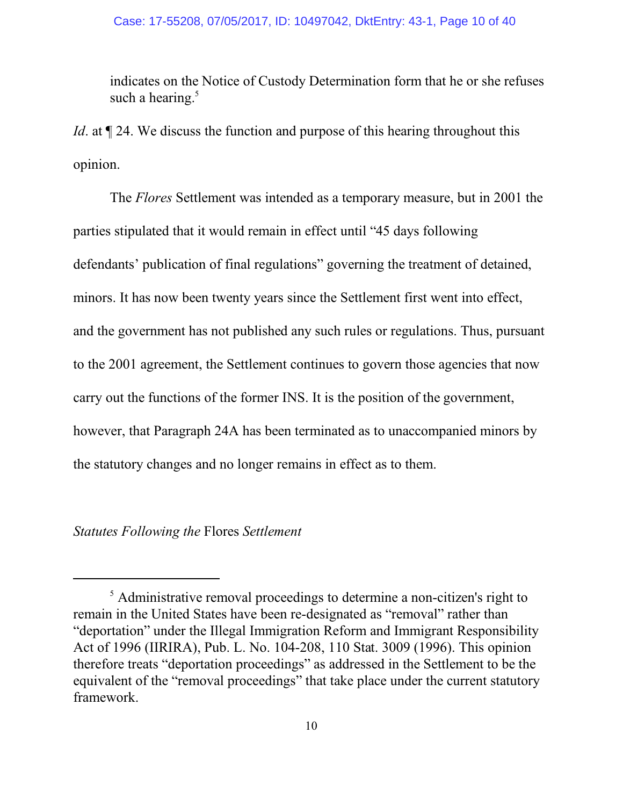indicates on the Notice of Custody Determination form that he or she refuses such a hearing. $5$ 

*Id*. at  $\P$  24. We discuss the function and purpose of this hearing throughout this opinion.

The *Flores* Settlement was intended as a temporary measure, but in 2001 the parties stipulated that it would remain in effect until "45 days following defendants' publication of final regulations" governing the treatment of detained, minors. It has now been twenty years since the Settlement first went into effect, and the government has not published any such rules or regulations. Thus, pursuant to the 2001 agreement, the Settlement continues to govern those agencies that now carry out the functions of the former INS. It is the position of the government, however, that Paragraph 24A has been terminated as to unaccompanied minors by the statutory changes and no longer remains in effect as to them.

## *Statutes Following the* Flores *Settlement*

<sup>&</sup>lt;sup>5</sup> Administrative removal proceedings to determine a non-citizen's right to remain in the United States have been re-designated as "removal" rather than "deportation" under the Illegal Immigration Reform and Immigrant Responsibility Act of 1996 (IIRIRA), Pub. L. No. 104-208, 110 Stat. 3009 (1996). This opinion therefore treats "deportation proceedings" as addressed in the Settlement to be the equivalent of the "removal proceedings" that take place under the current statutory framework.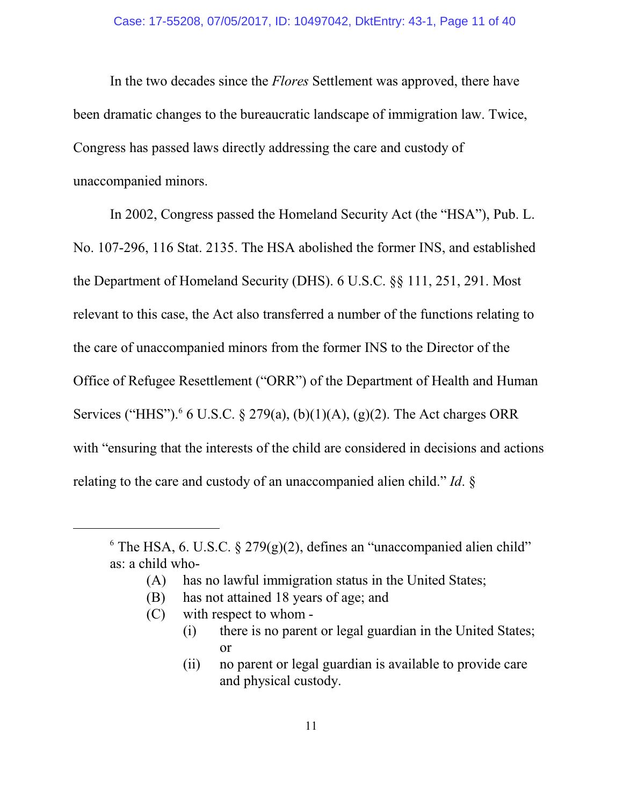In the two decades since the *Flores* Settlement was approved, there have been dramatic changes to the bureaucratic landscape of immigration law. Twice, Congress has passed laws directly addressing the care and custody of unaccompanied minors.

In 2002, Congress passed the Homeland Security Act (the "HSA"), Pub. L. No. 107-296, 116 Stat. 2135. The HSA abolished the former INS, and established the Department of Homeland Security (DHS). 6 U.S.C. §§ 111, 251, 291. Most relevant to this case, the Act also transferred a number of the functions relating to the care of unaccompanied minors from the former INS to the Director of the Office of Refugee Resettlement ("ORR") of the Department of Health and Human Services ("HHS").<sup>6</sup> 6 U.S.C. § 279(a), (b)(1)(A), (g)(2). The Act charges ORR with "ensuring that the interests of the child are considered in decisions and actions relating to the care and custody of an unaccompanied alien child." *Id*. §

- (A) has no lawful immigration status in the United States;
- (B) has not attained 18 years of age; and
- (C) with respect to whom
	- (i) there is no parent or legal guardian in the United States; or
	- (ii) no parent or legal guardian is available to provide care and physical custody.

 $6$  The HSA, 6. U.S.C.  $\S 279(g)(2)$ , defines an "unaccompanied alien child" as: a child who-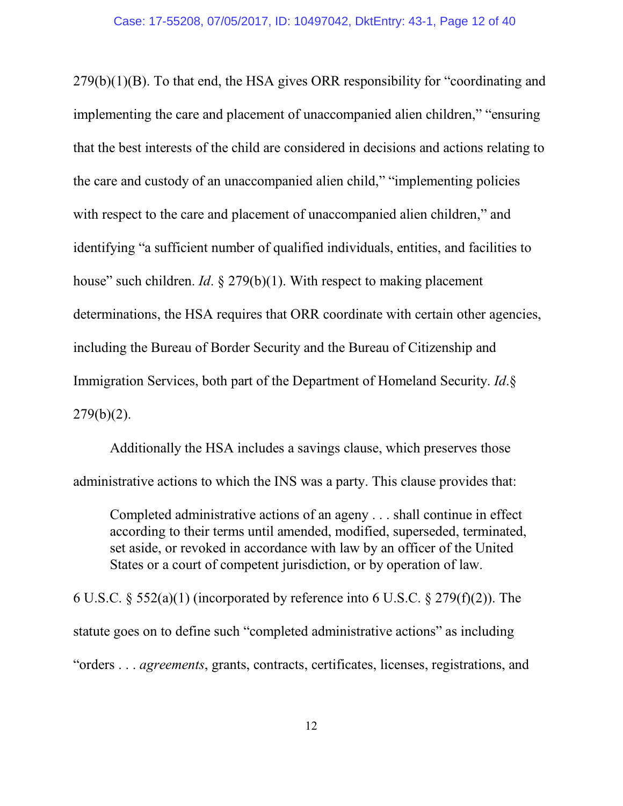279(b)(1)(B). To that end, the HSA gives ORR responsibility for "coordinating and implementing the care and placement of unaccompanied alien children," "ensuring that the best interests of the child are considered in decisions and actions relating to the care and custody of an unaccompanied alien child," "implementing policies with respect to the care and placement of unaccompanied alien children," and identifying "a sufficient number of qualified individuals, entities, and facilities to house" such children. *Id*. § 279(b)(1). With respect to making placement determinations, the HSA requires that ORR coordinate with certain other agencies, including the Bureau of Border Security and the Bureau of Citizenship and Immigration Services, both part of the Department of Homeland Security. *Id*.§  $279(b)(2)$ .

Additionally the HSA includes a savings clause, which preserves those administrative actions to which the INS was a party. This clause provides that:

Completed administrative actions of an ageny . . . shall continue in effect according to their terms until amended, modified, superseded, terminated, set aside, or revoked in accordance with law by an officer of the United States or a court of competent jurisdiction, or by operation of law.

6 U.S.C. § 552(a)(1) (incorporated by reference into 6 U.S.C. § 279(f)(2)). The statute goes on to define such "completed administrative actions" as including "orders . . . *agreements*, grants, contracts, certificates, licenses, registrations, and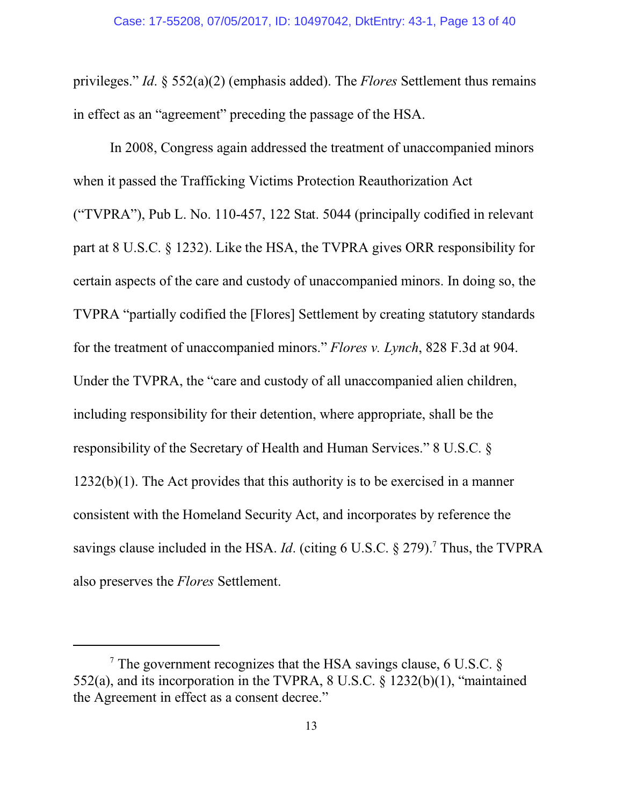privileges." *Id*. § 552(a)(2) (emphasis added). The *Flores* Settlement thus remains in effect as an "agreement" preceding the passage of the HSA.

In 2008, Congress again addressed the treatment of unaccompanied minors when it passed the Trafficking Victims Protection Reauthorization Act ("TVPRA"), Pub L. No. 110-457, 122 Stat. 5044 (principally codified in relevant part at 8 U.S.C. § 1232). Like the HSA, the TVPRA gives ORR responsibility for certain aspects of the care and custody of unaccompanied minors. In doing so, the TVPRA "partially codified the [Flores] Settlement by creating statutory standards for the treatment of unaccompanied minors." *Flores v. Lynch*, 828 F.3d at 904. Under the TVPRA, the "care and custody of all unaccompanied alien children, including responsibility for their detention, where appropriate, shall be the responsibility of the Secretary of Health and Human Services." 8 U.S.C. § 1232(b)(1). The Act provides that this authority is to be exercised in a manner consistent with the Homeland Security Act, and incorporates by reference the savings clause included in the HSA. *Id*. (citing 6 U.S.C. § 279).<sup>7</sup> Thus, the TVPRA also preserves the *Flores* Settlement.

<sup>&</sup>lt;sup>7</sup> The government recognizes that the HSA savings clause, 6 U.S.C.  $\S$ 552(a), and its incorporation in the TVPRA, 8 U.S.C. § 1232(b)(1), "maintained the Agreement in effect as a consent decree."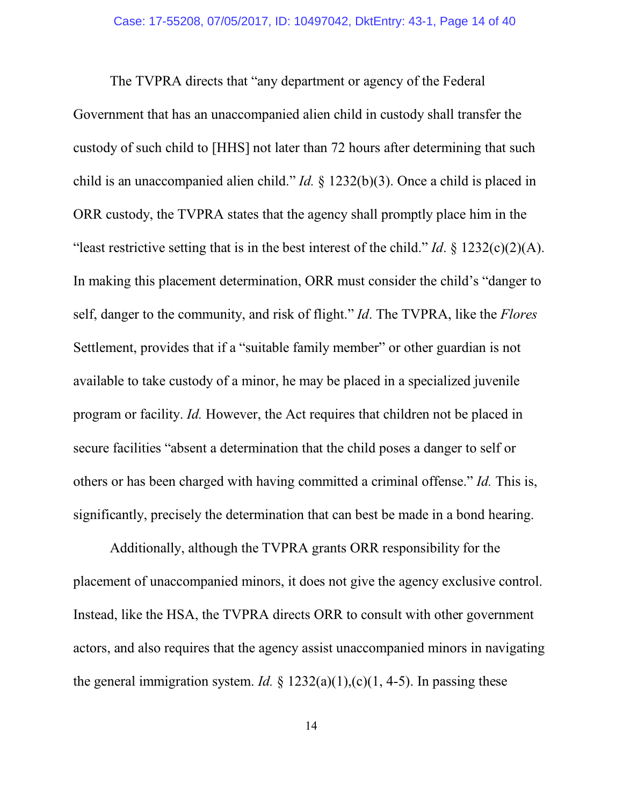The TVPRA directs that "any department or agency of the Federal Government that has an unaccompanied alien child in custody shall transfer the custody of such child to [HHS] not later than 72 hours after determining that such child is an unaccompanied alien child." *Id.* § 1232(b)(3). Once a child is placed in ORR custody, the TVPRA states that the agency shall promptly place him in the "least restrictive setting that is in the best interest of the child." *Id*. § 1232(c)(2)(A). In making this placement determination, ORR must consider the child's "danger to self, danger to the community, and risk of flight." *Id*. The TVPRA, like the *Flores* Settlement, provides that if a "suitable family member" or other guardian is not available to take custody of a minor, he may be placed in a specialized juvenile program or facility. *Id.* However, the Act requires that children not be placed in secure facilities "absent a determination that the child poses a danger to self or others or has been charged with having committed a criminal offense." *Id.* This is, significantly, precisely the determination that can best be made in a bond hearing.

Additionally, although the TVPRA grants ORR responsibility for the placement of unaccompanied minors, it does not give the agency exclusive control. Instead, like the HSA, the TVPRA directs ORR to consult with other government actors, and also requires that the agency assist unaccompanied minors in navigating the general immigration system. *Id.*  $\S$  1232(a)(1),(c)(1, 4-5). In passing these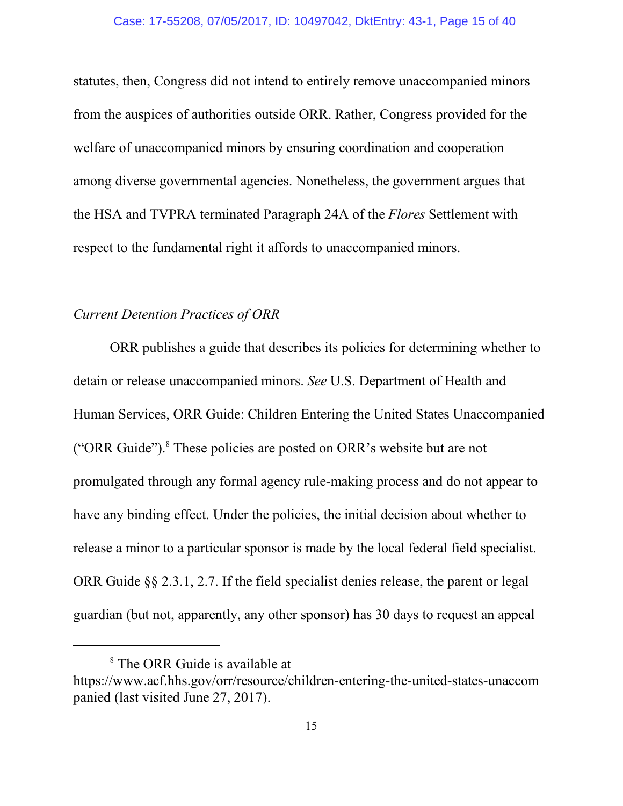statutes, then, Congress did not intend to entirely remove unaccompanied minors from the auspices of authorities outside ORR. Rather, Congress provided for the welfare of unaccompanied minors by ensuring coordination and cooperation among diverse governmental agencies. Nonetheless, the government argues that the HSA and TVPRA terminated Paragraph 24A of the *Flores* Settlement with respect to the fundamental right it affords to unaccompanied minors.

## *Current Detention Practices of ORR*

ORR publishes a guide that describes its policies for determining whether to detain or release unaccompanied minors. *See* U.S. Department of Health and Human Services, ORR Guide: Children Entering the United States Unaccompanied ("ORR Guide").<sup>8</sup> These policies are posted on ORR's website but are not promulgated through any formal agency rule-making process and do not appear to have any binding effect. Under the policies, the initial decision about whether to release a minor to a particular sponsor is made by the local federal field specialist. ORR Guide §§ 2.3.1, 2.7. If the field specialist denies release, the parent or legal guardian (but not, apparently, any other sponsor) has 30 days to request an appeal

<sup>&</sup>lt;sup>8</sup> The ORR Guide is available at

https://www.acf.hhs.gov/orr/resource/children-entering-the-united-states-unaccom panied (last visited June 27, 2017).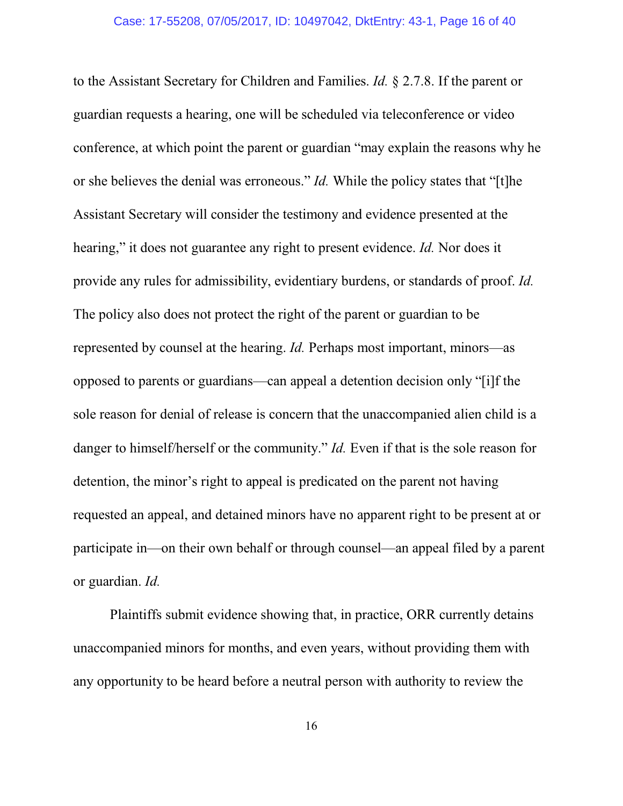to the Assistant Secretary for Children and Families. *Id.* § 2.7.8. If the parent or guardian requests a hearing, one will be scheduled via teleconference or video conference, at which point the parent or guardian "may explain the reasons why he or she believes the denial was erroneous." *Id.* While the policy states that "[t]he Assistant Secretary will consider the testimony and evidence presented at the hearing," it does not guarantee any right to present evidence. *Id.* Nor does it provide any rules for admissibility, evidentiary burdens, or standards of proof. *Id.* The policy also does not protect the right of the parent or guardian to be represented by counsel at the hearing. *Id.* Perhaps most important, minors—as opposed to parents or guardians—can appeal a detention decision only "[i]f the sole reason for denial of release is concern that the unaccompanied alien child is a danger to himself/herself or the community." *Id.* Even if that is the sole reason for detention, the minor's right to appeal is predicated on the parent not having requested an appeal, and detained minors have no apparent right to be present at or participate in—on their own behalf or through counsel—an appeal filed by a parent or guardian. *Id.*

Plaintiffs submit evidence showing that, in practice, ORR currently detains unaccompanied minors for months, and even years, without providing them with any opportunity to be heard before a neutral person with authority to review the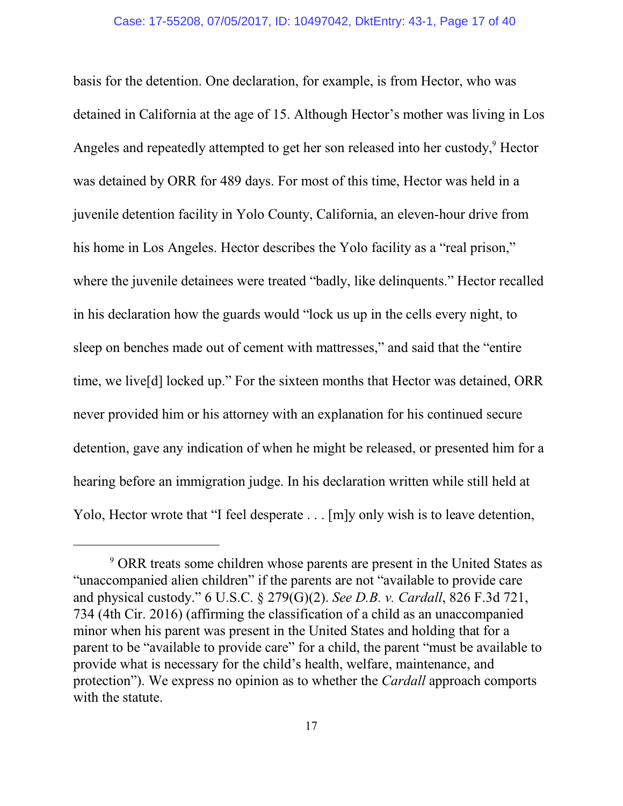basis for the detention. One declaration, for example, is from Hector, who was detained in California at the age of 15. Although Hector's mother was living in Los Angeles and repeatedly attempted to get her son released into her custody,<sup>9</sup> Hector was detained by ORR for 489 days. For most of this time, Hector was held in a juvenile detention facility in Yolo County, California, an eleven-hour drive from his home in Los Angeles. Hector describes the Yolo facility as a "real prison," where the juvenile detainees were treated "badly, like delinquents." Hector recalled in his declaration how the guards would "lock us up in the cells every night, to sleep on benches made out of cement with mattresses," and said that the "entire time, we live[d] locked up." For the sixteen months that Hector was detained, ORR never provided him or his attorney with an explanation for his continued secure detention, gave any indication of when he might be released, or presented him for a hearing before an immigration judge. In his declaration written while still held at Yolo, Hector wrote that "I feel desperate . . . [m]y only wish is to leave detention,

<sup>9</sup> ORR treats some children whose parents are present in the United States as "unaccompanied alien children" if the parents are not "available to provide care and physical custody." 6 U.S.C. § 279(G)(2). *See D.B. v. Cardall*, 826 F.3d 721, 734 (4th Cir. 2016) (affirming the classification of a child as an unaccompanied minor when his parent was present in the United States and holding that for a parent to be "available to provide care" for a child, the parent "must be available to provide what is necessary for the child's health, welfare, maintenance, and protection"). We express no opinion as to whether the *Cardall* approach comports with the statute.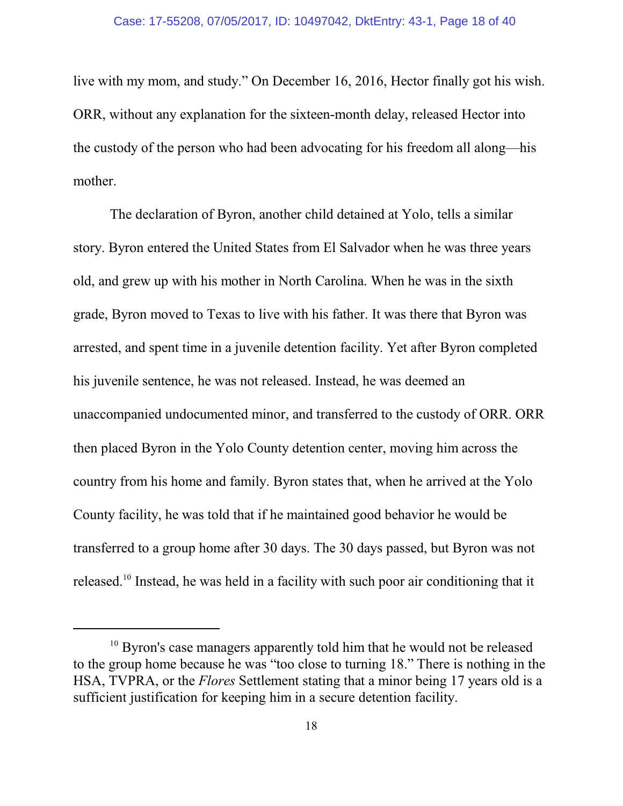live with my mom, and study." On December 16, 2016, Hector finally got his wish. ORR, without any explanation for the sixteen-month delay, released Hector into the custody of the person who had been advocating for his freedom all along—his mother.

The declaration of Byron, another child detained at Yolo, tells a similar story. Byron entered the United States from El Salvador when he was three years old, and grew up with his mother in North Carolina. When he was in the sixth grade, Byron moved to Texas to live with his father. It was there that Byron was arrested, and spent time in a juvenile detention facility. Yet after Byron completed his juvenile sentence, he was not released. Instead, he was deemed an unaccompanied undocumented minor, and transferred to the custody of ORR. ORR then placed Byron in the Yolo County detention center, moving him across the country from his home and family. Byron states that, when he arrived at the Yolo County facility, he was told that if he maintained good behavior he would be transferred to a group home after 30 days. The 30 days passed, but Byron was not released.<sup>10</sup> Instead, he was held in a facility with such poor air conditioning that it

<sup>&</sup>lt;sup>10</sup> Byron's case managers apparently told him that he would not be released to the group home because he was "too close to turning 18." There is nothing in the HSA, TVPRA, or the *Flores* Settlement stating that a minor being 17 years old is a sufficient justification for keeping him in a secure detention facility.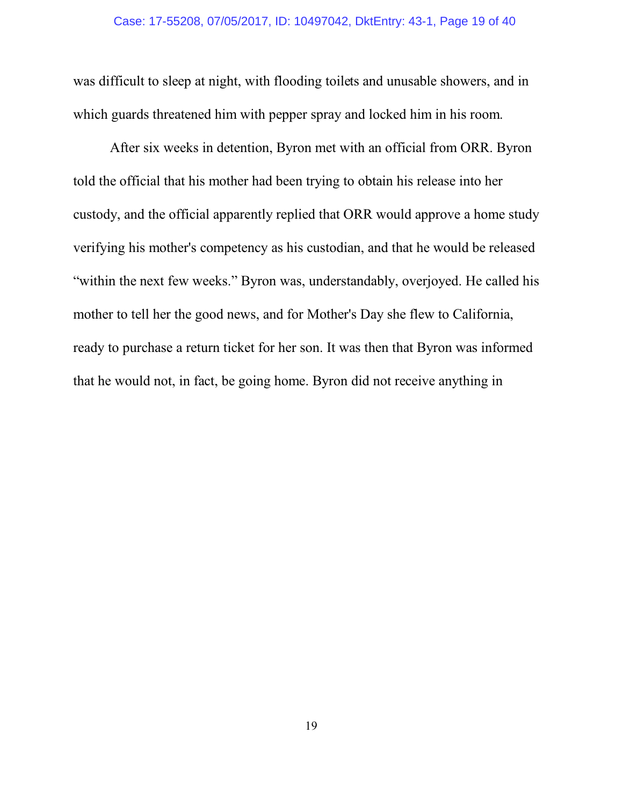was difficult to sleep at night, with flooding toilets and unusable showers, and in which guards threatened him with pepper spray and locked him in his room.

After six weeks in detention, Byron met with an official from ORR. Byron told the official that his mother had been trying to obtain his release into her custody, and the official apparently replied that ORR would approve a home study verifying his mother's competency as his custodian, and that he would be released "within the next few weeks." Byron was, understandably, overjoyed. He called his mother to tell her the good news, and for Mother's Day she flew to California, ready to purchase a return ticket for her son. It was then that Byron was informed that he would not, in fact, be going home. Byron did not receive anything in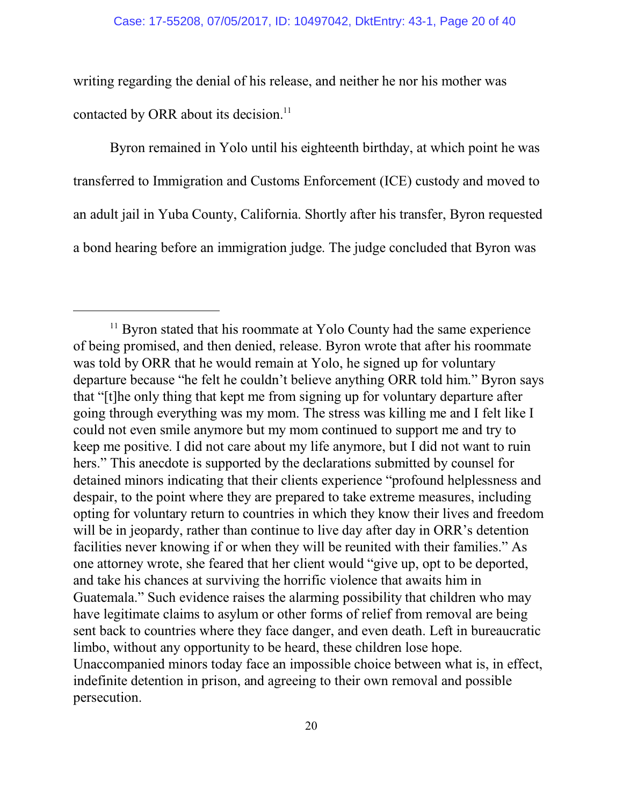writing regarding the denial of his release, and neither he nor his mother was contacted by ORR about its decision.<sup>11</sup>

Byron remained in Yolo until his eighteenth birthday, at which point he was transferred to Immigration and Customs Enforcement (ICE) custody and moved to an adult jail in Yuba County, California. Shortly after his transfer, Byron requested a bond hearing before an immigration judge. The judge concluded that Byron was

<sup>&</sup>lt;sup>11</sup> Byron stated that his roommate at Yolo County had the same experience of being promised, and then denied, release. Byron wrote that after his roommate was told by ORR that he would remain at Yolo, he signed up for voluntary departure because "he felt he couldn't believe anything ORR told him." Byron says that "[t]he only thing that kept me from signing up for voluntary departure after going through everything was my mom. The stress was killing me and I felt like I could not even smile anymore but my mom continued to support me and try to keep me positive. I did not care about my life anymore, but I did not want to ruin hers." This anecdote is supported by the declarations submitted by counsel for detained minors indicating that their clients experience "profound helplessness and despair, to the point where they are prepared to take extreme measures, including opting for voluntary return to countries in which they know their lives and freedom will be in jeopardy, rather than continue to live day after day in ORR's detention facilities never knowing if or when they will be reunited with their families." As one attorney wrote, she feared that her client would "give up, opt to be deported, and take his chances at surviving the horrific violence that awaits him in Guatemala." Such evidence raises the alarming possibility that children who may have legitimate claims to asylum or other forms of relief from removal are being sent back to countries where they face danger, and even death. Left in bureaucratic limbo, without any opportunity to be heard, these children lose hope. Unaccompanied minors today face an impossible choice between what is, in effect, indefinite detention in prison, and agreeing to their own removal and possible persecution.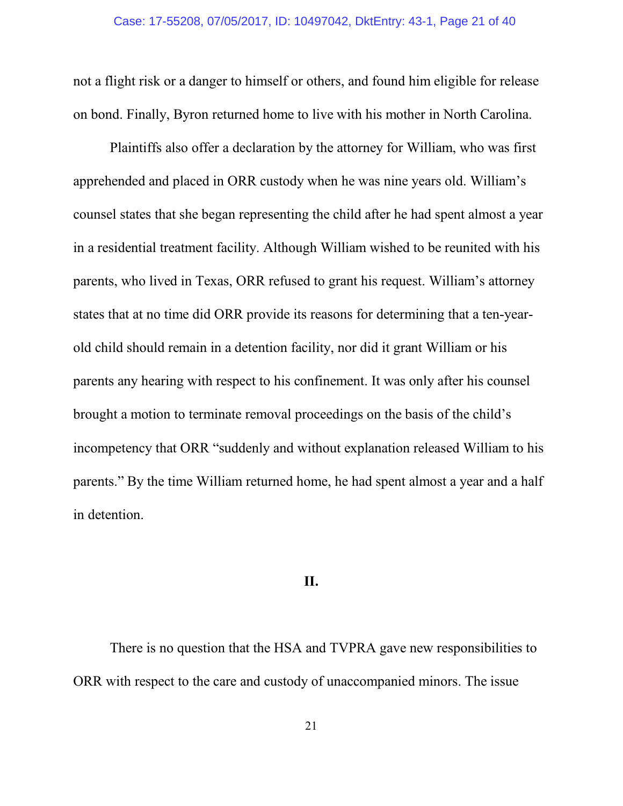not a flight risk or a danger to himself or others, and found him eligible for release on bond. Finally, Byron returned home to live with his mother in North Carolina.

Plaintiffs also offer a declaration by the attorney for William, who was first apprehended and placed in ORR custody when he was nine years old. William's counsel states that she began representing the child after he had spent almost a year in a residential treatment facility. Although William wished to be reunited with his parents, who lived in Texas, ORR refused to grant his request. William's attorney states that at no time did ORR provide its reasons for determining that a ten-yearold child should remain in a detention facility, nor did it grant William or his parents any hearing with respect to his confinement. It was only after his counsel brought a motion to terminate removal proceedings on the basis of the child's incompetency that ORR "suddenly and without explanation released William to his parents." By the time William returned home, he had spent almost a year and a half in detention.

## **II.**

There is no question that the HSA and TVPRA gave new responsibilities to ORR with respect to the care and custody of unaccompanied minors. The issue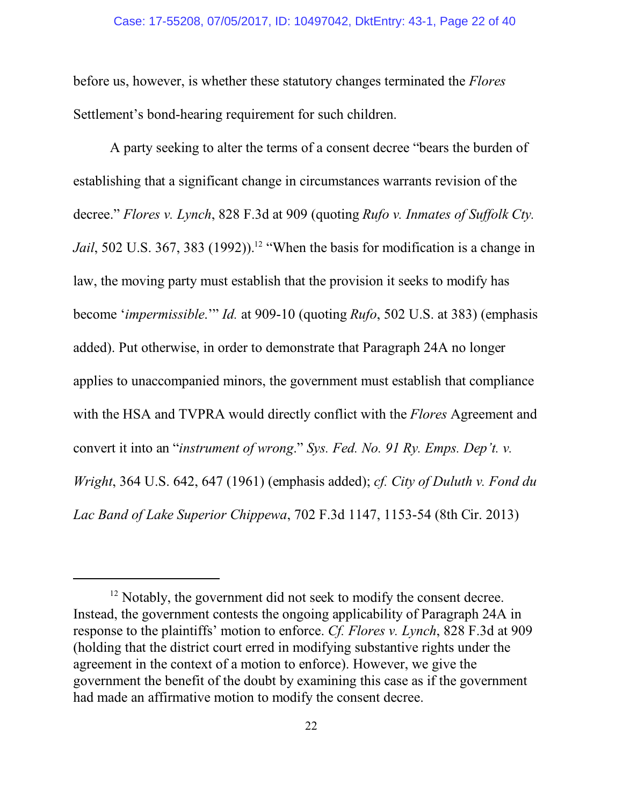### Case: 17-55208, 07/05/2017, ID: 10497042, DktEntry: 43-1, Page 22 of 40

before us, however, is whether these statutory changes terminated the *Flores* Settlement's bond-hearing requirement for such children.

A party seeking to alter the terms of a consent decree "bears the burden of establishing that a significant change in circumstances warrants revision of the decree." *Flores v. Lynch*, 828 F.3d at 909 (quoting *Rufo v. Inmates of Suffolk Cty.* Jail, 502 U.S. 367, 383 (1992)).<sup>12</sup> "When the basis for modification is a change in law, the moving party must establish that the provision it seeks to modify has become '*impermissible*.'" *Id.* at 909-10 (quoting *Rufo*, 502 U.S. at 383) (emphasis added). Put otherwise, in order to demonstrate that Paragraph 24A no longer applies to unaccompanied minors, the government must establish that compliance with the HSA and TVPRA would directly conflict with the *Flores* Agreement and convert it into an "*instrument of wrong*." *Sys. Fed. No. 91 Ry. Emps. Dep't. v. Wright*, 364 U.S. 642, 647 (1961) (emphasis added); *cf. City of Duluth v. Fond du Lac Band of Lake Superior Chippewa*, 702 F.3d 1147, 1153-54 (8th Cir. 2013)

<sup>&</sup>lt;sup>12</sup> Notably, the government did not seek to modify the consent decree. Instead, the government contests the ongoing applicability of Paragraph 24A in response to the plaintiffs' motion to enforce. *Cf. Flores v. Lynch*, 828 F.3d at 909 (holding that the district court erred in modifying substantive rights under the agreement in the context of a motion to enforce). However, we give the government the benefit of the doubt by examining this case as if the government had made an affirmative motion to modify the consent decree.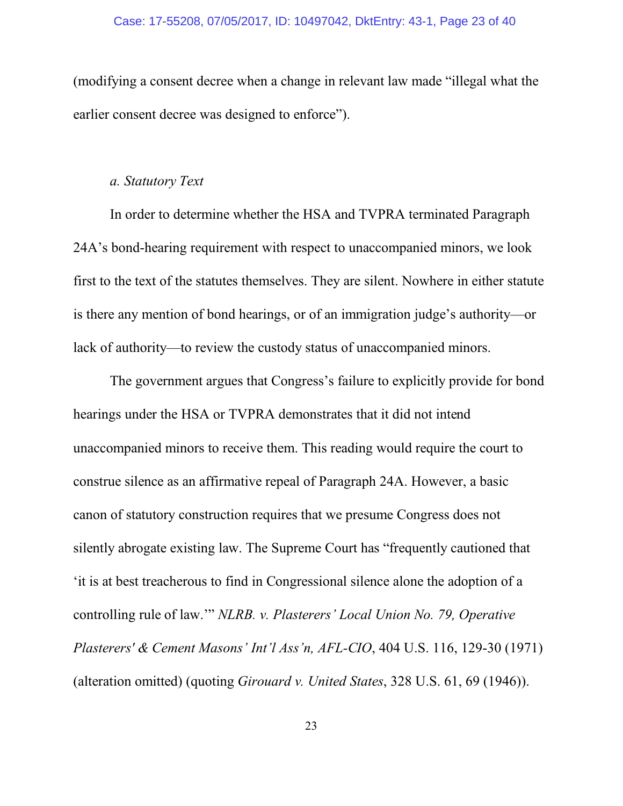(modifying a consent decree when a change in relevant law made "illegal what the earlier consent decree was designed to enforce").

## *a. Statutory Text*

In order to determine whether the HSA and TVPRA terminated Paragraph 24A's bond-hearing requirement with respect to unaccompanied minors, we look first to the text of the statutes themselves. They are silent. Nowhere in either statute is there any mention of bond hearings, or of an immigration judge's authority—or lack of authority—to review the custody status of unaccompanied minors.

The government argues that Congress's failure to explicitly provide for bond hearings under the HSA or TVPRA demonstrates that it did not intend unaccompanied minors to receive them. This reading would require the court to construe silence as an affirmative repeal of Paragraph 24A. However, a basic canon of statutory construction requires that we presume Congress does not silently abrogate existing law. The Supreme Court has "frequently cautioned that 'it is at best treacherous to find in Congressional silence alone the adoption of a controlling rule of law.'" *NLRB. v. Plasterers' Local Union No. 79, Operative Plasterers' & Cement Masons' Int'l Ass'n, AFL-CIO*, 404 U.S. 116, 129-30 (1971) (alteration omitted) (quoting *Girouard v. United States*, 328 U.S. 61, 69 (1946)).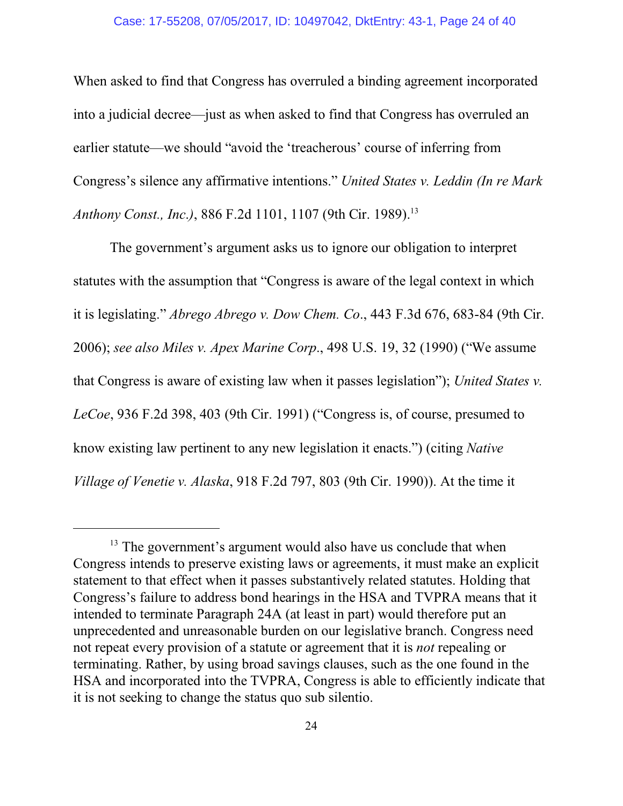When asked to find that Congress has overruled a binding agreement incorporated into a judicial decree—just as when asked to find that Congress has overruled an earlier statute—we should "avoid the 'treacherous' course of inferring from Congress's silence any affirmative intentions." *United States v. Leddin (In re Mark Anthony Const., Inc.*), 886 F.2d 1101, 1107 (9th Cir. 1989).<sup>13</sup>

The government's argument asks us to ignore our obligation to interpret statutes with the assumption that "Congress is aware of the legal context in which it is legislating." *Abrego Abrego v. Dow Chem. Co*., 443 F.3d 676, 683-84 (9th Cir. 2006); *see also Miles v. Apex Marine Corp*., 498 U.S. 19, 32 (1990) ("We assume that Congress is aware of existing law when it passes legislation"); *United States v. LeCoe*, 936 F.2d 398, 403 (9th Cir. 1991) ("Congress is, of course, presumed to know existing law pertinent to any new legislation it enacts.") (citing *Native Village of Venetie v. Alaska*, 918 F.2d 797, 803 (9th Cir. 1990)). At the time it

<sup>&</sup>lt;sup>13</sup> The government's argument would also have us conclude that when Congress intends to preserve existing laws or agreements, it must make an explicit statement to that effect when it passes substantively related statutes. Holding that Congress's failure to address bond hearings in the HSA and TVPRA means that it intended to terminate Paragraph 24A (at least in part) would therefore put an unprecedented and unreasonable burden on our legislative branch. Congress need not repeat every provision of a statute or agreement that it is *not* repealing or terminating. Rather, by using broad savings clauses, such as the one found in the HSA and incorporated into the TVPRA, Congress is able to efficiently indicate that it is not seeking to change the status quo sub silentio.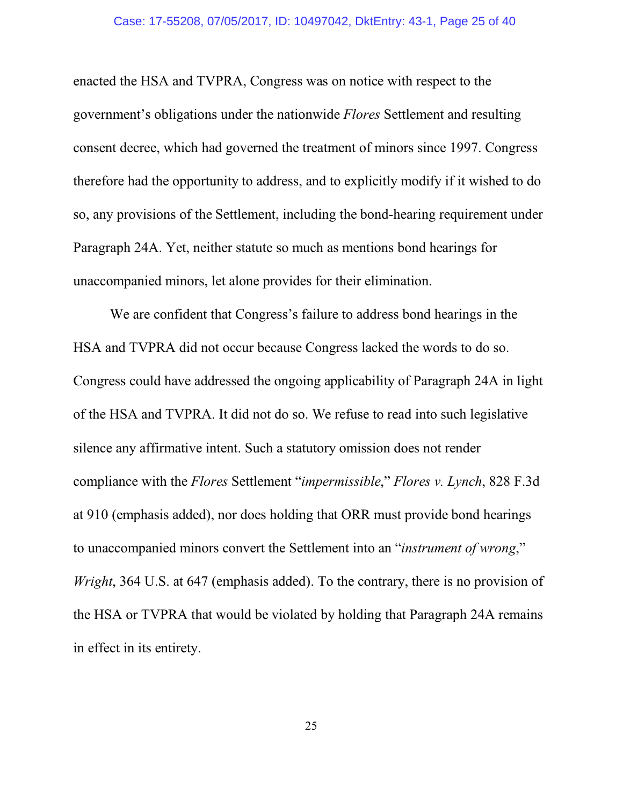#### Case: 17-55208, 07/05/2017, ID: 10497042, DktEntry: 43-1, Page 25 of 40

enacted the HSA and TVPRA, Congress was on notice with respect to the government's obligations under the nationwide *Flores* Settlement and resulting consent decree, which had governed the treatment of minors since 1997. Congress therefore had the opportunity to address, and to explicitly modify if it wished to do so, any provisions of the Settlement, including the bond-hearing requirement under Paragraph 24A. Yet, neither statute so much as mentions bond hearings for unaccompanied minors, let alone provides for their elimination.

We are confident that Congress's failure to address bond hearings in the HSA and TVPRA did not occur because Congress lacked the words to do so. Congress could have addressed the ongoing applicability of Paragraph 24A in light of the HSA and TVPRA. It did not do so. We refuse to read into such legislative silence any affirmative intent. Such a statutory omission does not render compliance with the *Flores* Settlement "*impermissible*," *Flores v. Lynch*, 828 F.3d at 910 (emphasis added), nor does holding that ORR must provide bond hearings to unaccompanied minors convert the Settlement into an "*instrument of wrong*," *Wright*, 364 U.S. at 647 (emphasis added). To the contrary, there is no provision of the HSA or TVPRA that would be violated by holding that Paragraph 24A remains in effect in its entirety.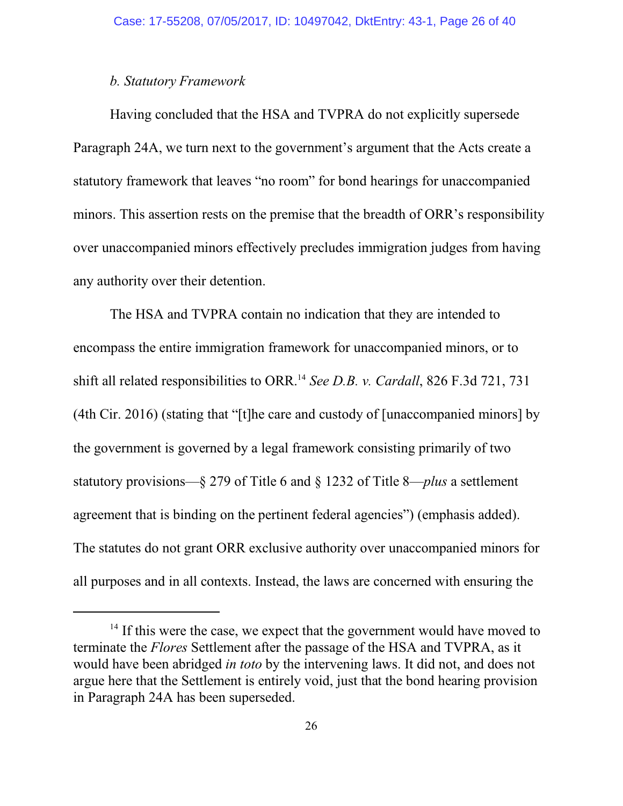# *b. Statutory Framework*

Having concluded that the HSA and TVPRA do not explicitly supersede Paragraph 24A, we turn next to the government's argument that the Acts create a statutory framework that leaves "no room" for bond hearings for unaccompanied minors. This assertion rests on the premise that the breadth of ORR's responsibility over unaccompanied minors effectively precludes immigration judges from having any authority over their detention.

The HSA and TVPRA contain no indication that they are intended to encompass the entire immigration framework for unaccompanied minors, or to shift all related responsibilities to ORR. 14 *See D.B. v. Cardall*, 826 F.3d 721, 731 (4th Cir. 2016) (stating that "[t]he care and custody of [unaccompanied minors] by the government is governed by a legal framework consisting primarily of two statutory provisions—§ 279 of Title 6 and § 1232 of Title 8—*plus* a settlement agreement that is binding on the pertinent federal agencies") (emphasis added). The statutes do not grant ORR exclusive authority over unaccompanied minors for all purposes and in all contexts. Instead, the laws are concerned with ensuring the

<sup>&</sup>lt;sup>14</sup> If this were the case, we expect that the government would have moved to terminate the *Flores* Settlement after the passage of the HSA and TVPRA, as it would have been abridged *in toto* by the intervening laws. It did not, and does not argue here that the Settlement is entirely void, just that the bond hearing provision in Paragraph 24A has been superseded.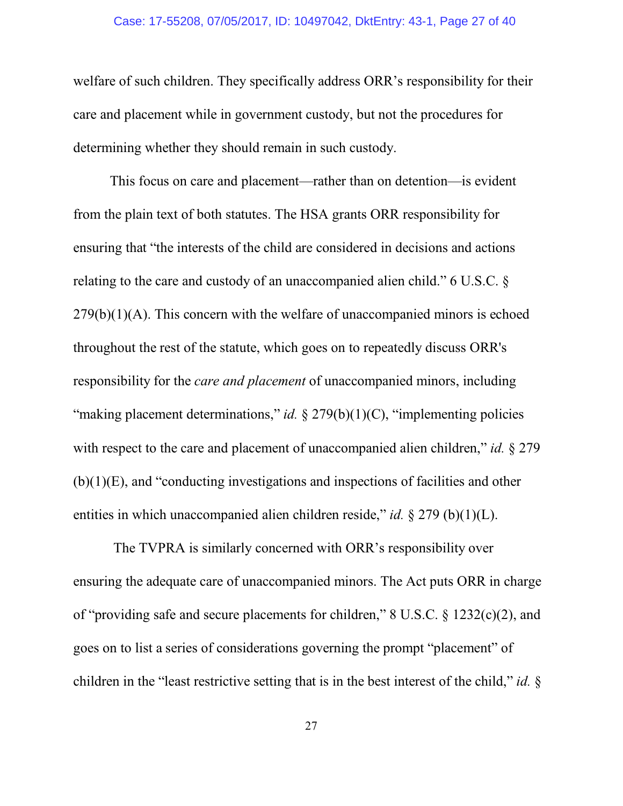### Case: 17-55208, 07/05/2017, ID: 10497042, DktEntry: 43-1, Page 27 of 40

welfare of such children. They specifically address ORR's responsibility for their care and placement while in government custody, but not the procedures for determining whether they should remain in such custody.

This focus on care and placement—rather than on detention—is evident from the plain text of both statutes. The HSA grants ORR responsibility for ensuring that "the interests of the child are considered in decisions and actions relating to the care and custody of an unaccompanied alien child." 6 U.S.C. §  $279(b)(1)(A)$ . This concern with the welfare of unaccompanied minors is echoed throughout the rest of the statute, which goes on to repeatedly discuss ORR's responsibility for the *care and placement* of unaccompanied minors, including "making placement determinations," *id.* § 279(b)(1)(C), "implementing policies" with respect to the care and placement of unaccompanied alien children," *id.* § 279  $(b)(1)(E)$ , and "conducting investigations and inspections of facilities and other entities in which unaccompanied alien children reside," *id.* § 279 (b)(1)(L).

 The TVPRA is similarly concerned with ORR's responsibility over ensuring the adequate care of unaccompanied minors. The Act puts ORR in charge of "providing safe and secure placements for children," 8 U.S.C. § 1232(c)(2), and goes on to list a series of considerations governing the prompt "placement" of children in the "least restrictive setting that is in the best interest of the child," *id.* §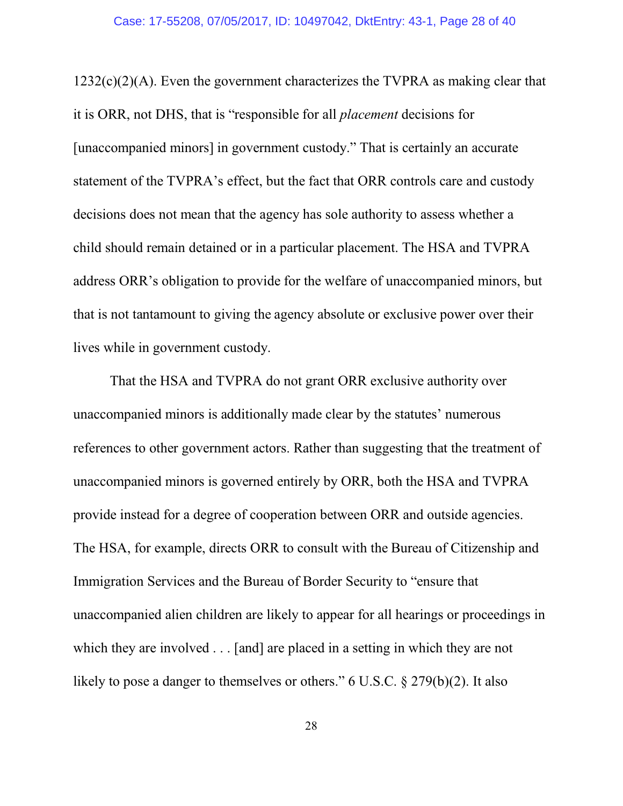$1232(c)(2)(A)$ . Even the government characterizes the TVPRA as making clear that it is ORR, not DHS, that is "responsible for all *placement* decisions for [unaccompanied minors] in government custody." That is certainly an accurate statement of the TVPRA's effect, but the fact that ORR controls care and custody decisions does not mean that the agency has sole authority to assess whether a child should remain detained or in a particular placement. The HSA and TVPRA address ORR's obligation to provide for the welfare of unaccompanied minors, but that is not tantamount to giving the agency absolute or exclusive power over their lives while in government custody.

That the HSA and TVPRA do not grant ORR exclusive authority over unaccompanied minors is additionally made clear by the statutes' numerous references to other government actors. Rather than suggesting that the treatment of unaccompanied minors is governed entirely by ORR, both the HSA and TVPRA provide instead for a degree of cooperation between ORR and outside agencies. The HSA, for example, directs ORR to consult with the Bureau of Citizenship and Immigration Services and the Bureau of Border Security to "ensure that unaccompanied alien children are likely to appear for all hearings or proceedings in which they are involved . . . [and] are placed in a setting in which they are not likely to pose a danger to themselves or others." 6 U.S.C. § 279(b)(2). It also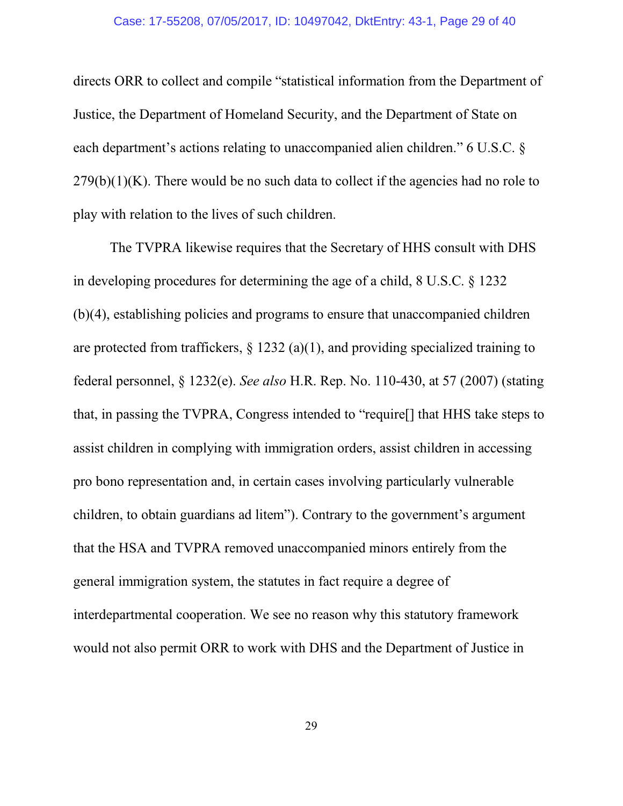### Case: 17-55208, 07/05/2017, ID: 10497042, DktEntry: 43-1, Page 29 of 40

directs ORR to collect and compile "statistical information from the Department of Justice, the Department of Homeland Security, and the Department of State on each department's actions relating to unaccompanied alien children." 6 U.S.C. §  $279(b)(1)(K)$ . There would be no such data to collect if the agencies had no role to play with relation to the lives of such children.

The TVPRA likewise requires that the Secretary of HHS consult with DHS in developing procedures for determining the age of a child, 8 U.S.C. § 1232 (b)(4), establishing policies and programs to ensure that unaccompanied children are protected from traffickers,  $\S$  1232 (a)(1), and providing specialized training to federal personnel, § 1232(e). *See also* H.R. Rep. No. 110-430, at 57 (2007) (stating that, in passing the TVPRA, Congress intended to "require[] that HHS take steps to assist children in complying with immigration orders, assist children in accessing pro bono representation and, in certain cases involving particularly vulnerable children, to obtain guardians ad litem"). Contrary to the government's argument that the HSA and TVPRA removed unaccompanied minors entirely from the general immigration system, the statutes in fact require a degree of interdepartmental cooperation. We see no reason why this statutory framework would not also permit ORR to work with DHS and the Department of Justice in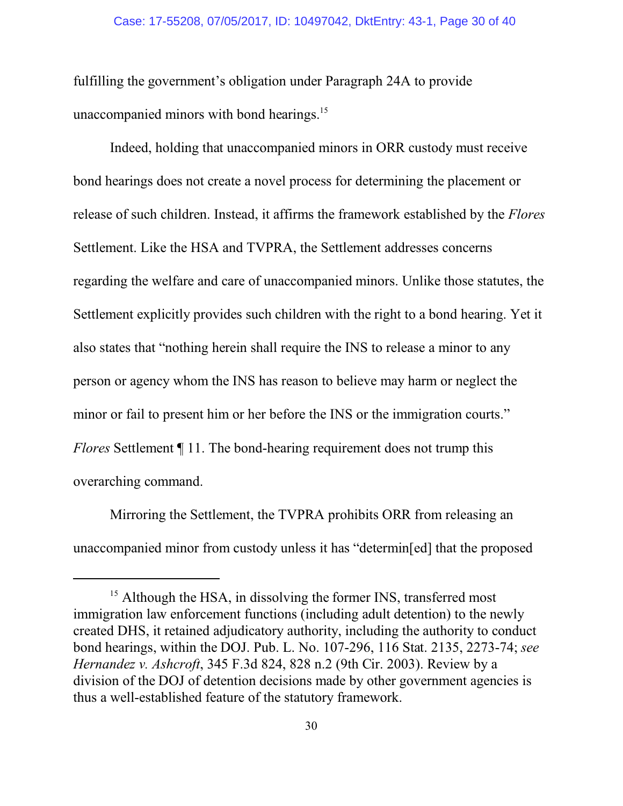fulfilling the government's obligation under Paragraph 24A to provide unaccompanied minors with bond hearings.<sup>15</sup>

Indeed, holding that unaccompanied minors in ORR custody must receive bond hearings does not create a novel process for determining the placement or release of such children. Instead, it affirms the framework established by the *Flores* Settlement. Like the HSA and TVPRA, the Settlement addresses concerns regarding the welfare and care of unaccompanied minors. Unlike those statutes, the Settlement explicitly provides such children with the right to a bond hearing. Yet it also states that "nothing herein shall require the INS to release a minor to any person or agency whom the INS has reason to believe may harm or neglect the minor or fail to present him or her before the INS or the immigration courts." *Flores* Settlement  $\P$  11. The bond-hearing requirement does not trump this overarching command.

Mirroring the Settlement, the TVPRA prohibits ORR from releasing an unaccompanied minor from custody unless it has "determin[ed] that the proposed

<sup>&</sup>lt;sup>15</sup> Although the HSA, in dissolving the former INS, transferred most immigration law enforcement functions (including adult detention) to the newly created DHS, it retained adjudicatory authority, including the authority to conduct bond hearings, within the DOJ. Pub. L. No. 107-296, 116 Stat. 2135, 2273-74; *see Hernandez v. Ashcroft*, 345 F.3d 824, 828 n.2 (9th Cir. 2003). Review by a division of the DOJ of detention decisions made by other government agencies is thus a well-established feature of the statutory framework.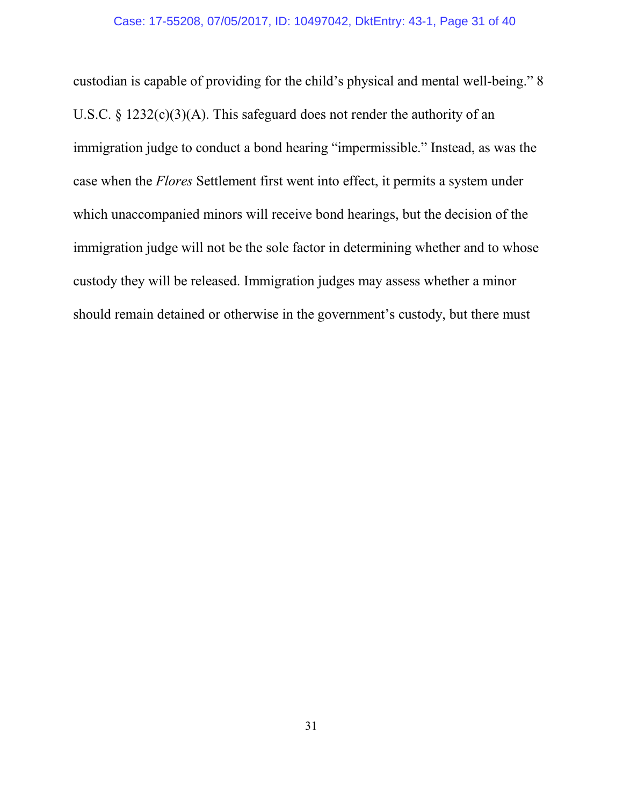custodian is capable of providing for the child's physical and mental well-being." 8 U.S.C. § 1232(c)(3)(A). This safeguard does not render the authority of an immigration judge to conduct a bond hearing "impermissible." Instead, as was the case when the *Flores* Settlement first went into effect, it permits a system under which unaccompanied minors will receive bond hearings, but the decision of the immigration judge will not be the sole factor in determining whether and to whose custody they will be released. Immigration judges may assess whether a minor should remain detained or otherwise in the government's custody, but there must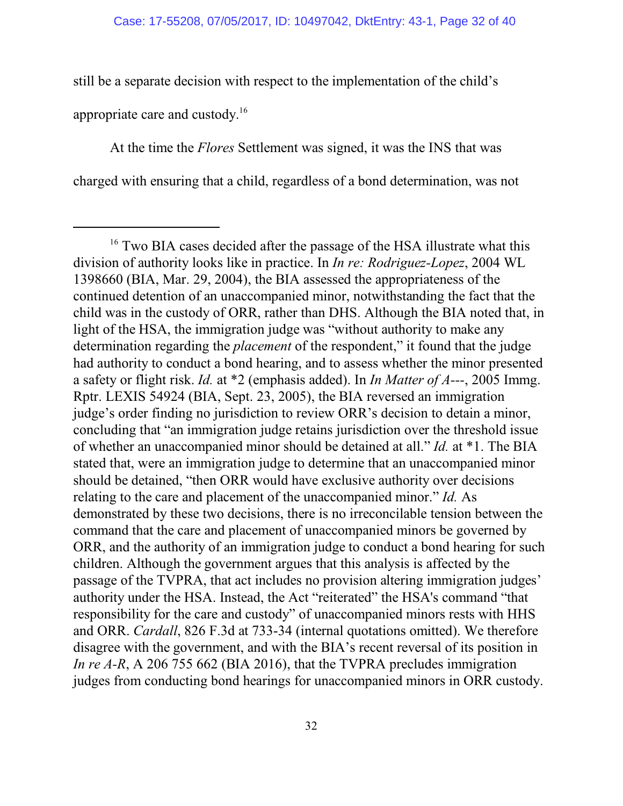still be a separate decision with respect to the implementation of the child's appropriate care and custody. 16

At the time the *Flores* Settlement was signed, it was the INS that was charged with ensuring that a child, regardless of a bond determination, was not

<sup>&</sup>lt;sup>16</sup> Two BIA cases decided after the passage of the HSA illustrate what this division of authority looks like in practice. In *In re: Rodriguez-Lopez*, 2004 WL 1398660 (BIA, Mar. 29, 2004), the BIA assessed the appropriateness of the continued detention of an unaccompanied minor, notwithstanding the fact that the child was in the custody of ORR, rather than DHS. Although the BIA noted that, in light of the HSA, the immigration judge was "without authority to make any determination regarding the *placement* of the respondent," it found that the judge had authority to conduct a bond hearing, and to assess whether the minor presented a safety or flight risk. *Id.* at \*2 (emphasis added). In *In Matter of A---*, 2005 Immg. Rptr. LEXIS 54924 (BIA, Sept. 23, 2005), the BIA reversed an immigration judge's order finding no jurisdiction to review ORR's decision to detain a minor, concluding that "an immigration judge retains jurisdiction over the threshold issue of whether an unaccompanied minor should be detained at all." *Id.* at \*1. The BIA stated that, were an immigration judge to determine that an unaccompanied minor should be detained, "then ORR would have exclusive authority over decisions relating to the care and placement of the unaccompanied minor." *Id.* As demonstrated by these two decisions, there is no irreconcilable tension between the command that the care and placement of unaccompanied minors be governed by ORR, and the authority of an immigration judge to conduct a bond hearing for such children. Although the government argues that this analysis is affected by the passage of the TVPRA, that act includes no provision altering immigration judges' authority under the HSA. Instead, the Act "reiterated" the HSA's command "that responsibility for the care and custody" of unaccompanied minors rests with HHS and ORR. *Cardall*, 826 F.3d at 733-34 (internal quotations omitted). We therefore disagree with the government, and with the BIA's recent reversal of its position in *In re A-R*, A 206 755 662 (BIA 2016), that the TVPRA precludes immigration judges from conducting bond hearings for unaccompanied minors in ORR custody.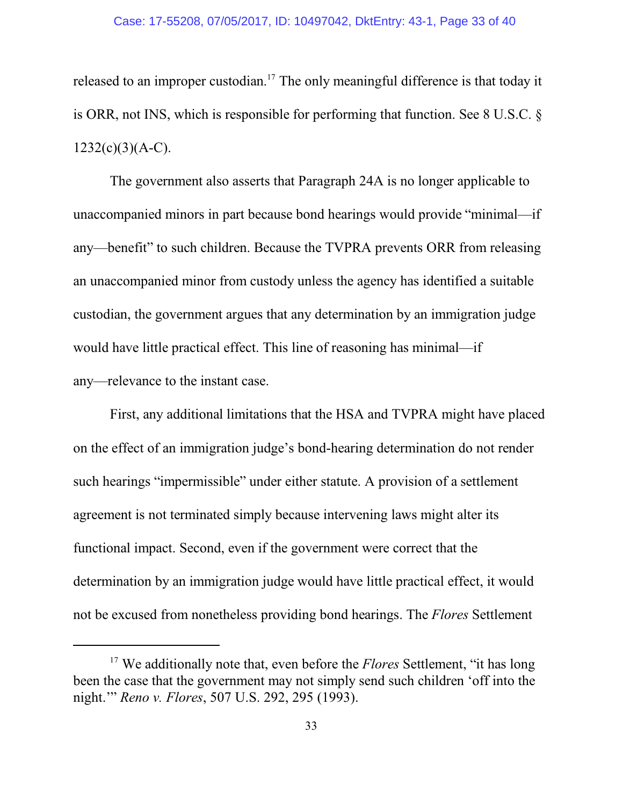### Case: 17-55208, 07/05/2017, ID: 10497042, DktEntry: 43-1, Page 33 of 40

released to an improper custodian.<sup>17</sup> The only meaningful difference is that today it is ORR, not INS, which is responsible for performing that function. See 8 U.S.C. §  $1232(c)(3)(A-C)$ .

The government also asserts that Paragraph 24A is no longer applicable to unaccompanied minors in part because bond hearings would provide "minimal—if any—benefit" to such children. Because the TVPRA prevents ORR from releasing an unaccompanied minor from custody unless the agency has identified a suitable custodian, the government argues that any determination by an immigration judge would have little practical effect. This line of reasoning has minimal—if any—relevance to the instant case.

First, any additional limitations that the HSA and TVPRA might have placed on the effect of an immigration judge's bond-hearing determination do not render such hearings "impermissible" under either statute. A provision of a settlement agreement is not terminated simply because intervening laws might alter its functional impact. Second, even if the government were correct that the determination by an immigration judge would have little practical effect, it would not be excused from nonetheless providing bond hearings. The *Flores* Settlement

<sup>&</sup>lt;sup>17</sup> We additionally note that, even before the *Flores* Settlement, "it has long been the case that the government may not simply send such children 'off into the night.'" *Reno v. Flores*, 507 U.S. 292, 295 (1993).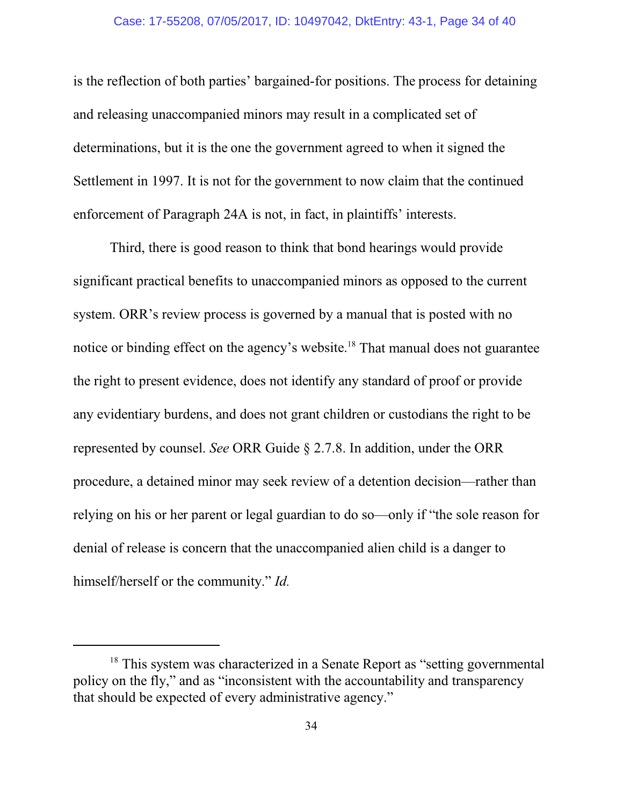### Case: 17-55208, 07/05/2017, ID: 10497042, DktEntry: 43-1, Page 34 of 40

is the reflection of both parties' bargained-for positions. The process for detaining and releasing unaccompanied minors may result in a complicated set of determinations, but it is the one the government agreed to when it signed the Settlement in 1997. It is not for the government to now claim that the continued enforcement of Paragraph 24A is not, in fact, in plaintiffs' interests.

Third, there is good reason to think that bond hearings would provide significant practical benefits to unaccompanied minors as opposed to the current system. ORR's review process is governed by a manual that is posted with no notice or binding effect on the agency's website.<sup>18</sup> That manual does not guarantee the right to present evidence, does not identify any standard of proof or provide any evidentiary burdens, and does not grant children or custodians the right to be represented by counsel. *See* ORR Guide § 2.7.8. In addition, under the ORR procedure, a detained minor may seek review of a detention decision—rather than relying on his or her parent or legal guardian to do so—only if "the sole reason for denial of release is concern that the unaccompanied alien child is a danger to himself/herself or the community." *Id.*

<sup>&</sup>lt;sup>18</sup> This system was characterized in a Senate Report as "setting governmental policy on the fly," and as "inconsistent with the accountability and transparency that should be expected of every administrative agency."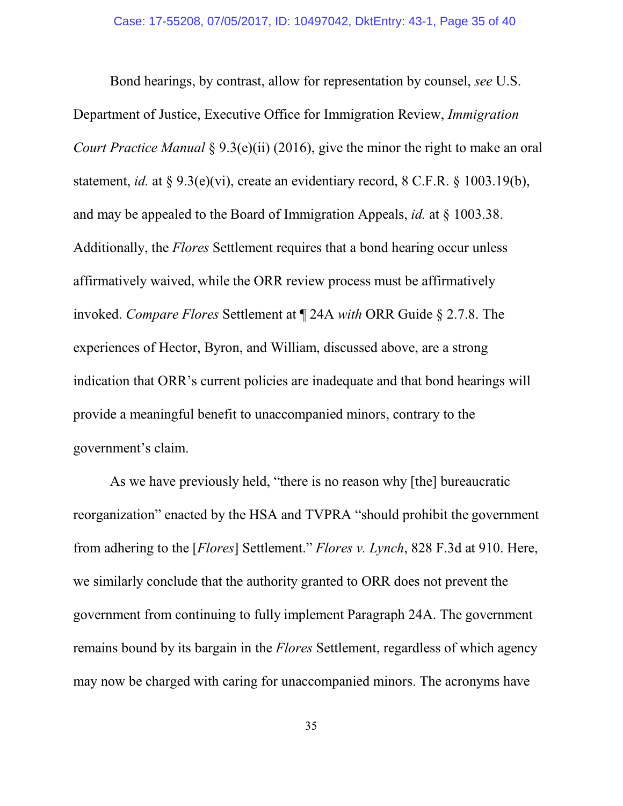Bond hearings, by contrast, allow for representation by counsel, *see* U.S. Department of Justice, Executive Office for Immigration Review, *Immigration Court Practice Manual* § 9.3(e)(ii) (2016), give the minor the right to make an oral statement, *id.* at § 9.3(e)(vi), create an evidentiary record, 8 C.F.R. § 1003.19(b), and may be appealed to the Board of Immigration Appeals, *id.* at § 1003.38. Additionally, the *Flores* Settlement requires that a bond hearing occur unless affirmatively waived, while the ORR review process must be affirmatively invoked. *Compare Flores* Settlement at ¶ 24A *with* ORR Guide § 2.7.8. The experiences of Hector, Byron, and William, discussed above, are a strong indication that ORR's current policies are inadequate and that bond hearings will provide a meaningful benefit to unaccompanied minors, contrary to the government's claim.

As we have previously held, "there is no reason why [the] bureaucratic reorganization" enacted by the HSA and TVPRA "should prohibit the government from adhering to the [*Flores*] Settlement." *Flores v. Lynch*, 828 F.3d at 910. Here, we similarly conclude that the authority granted to ORR does not prevent the government from continuing to fully implement Paragraph 24A. The government remains bound by its bargain in the *Flores* Settlement, regardless of which agency may now be charged with caring for unaccompanied minors. The acronyms have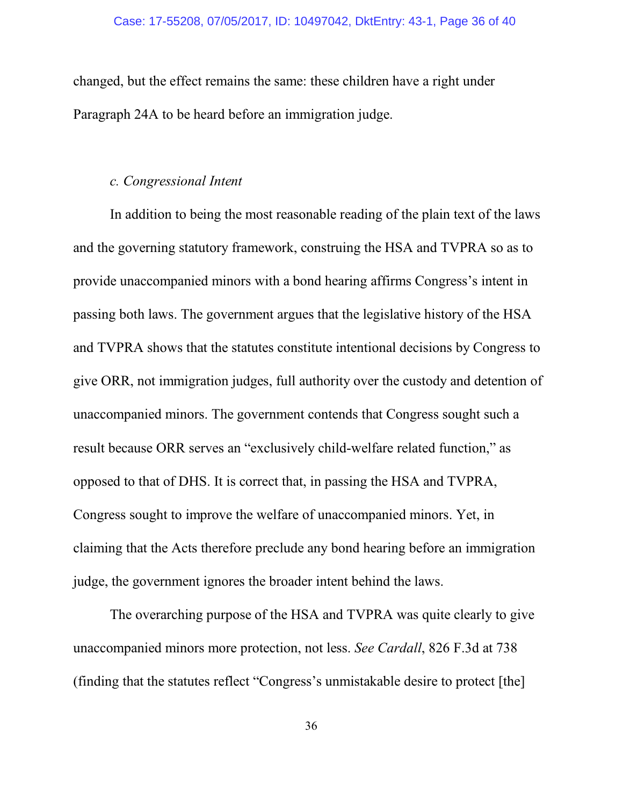changed, but the effect remains the same: these children have a right under Paragraph 24A to be heard before an immigration judge.

# *c. Congressional Intent*

In addition to being the most reasonable reading of the plain text of the laws and the governing statutory framework, construing the HSA and TVPRA so as to provide unaccompanied minors with a bond hearing affirms Congress's intent in passing both laws. The government argues that the legislative history of the HSA and TVPRA shows that the statutes constitute intentional decisions by Congress to give ORR, not immigration judges, full authority over the custody and detention of unaccompanied minors. The government contends that Congress sought such a result because ORR serves an "exclusively child-welfare related function," as opposed to that of DHS. It is correct that, in passing the HSA and TVPRA, Congress sought to improve the welfare of unaccompanied minors. Yet, in claiming that the Acts therefore preclude any bond hearing before an immigration judge, the government ignores the broader intent behind the laws.

The overarching purpose of the HSA and TVPRA was quite clearly to give unaccompanied minors more protection, not less. *See Cardall*, 826 F.3d at 738 (finding that the statutes reflect "Congress's unmistakable desire to protect [the]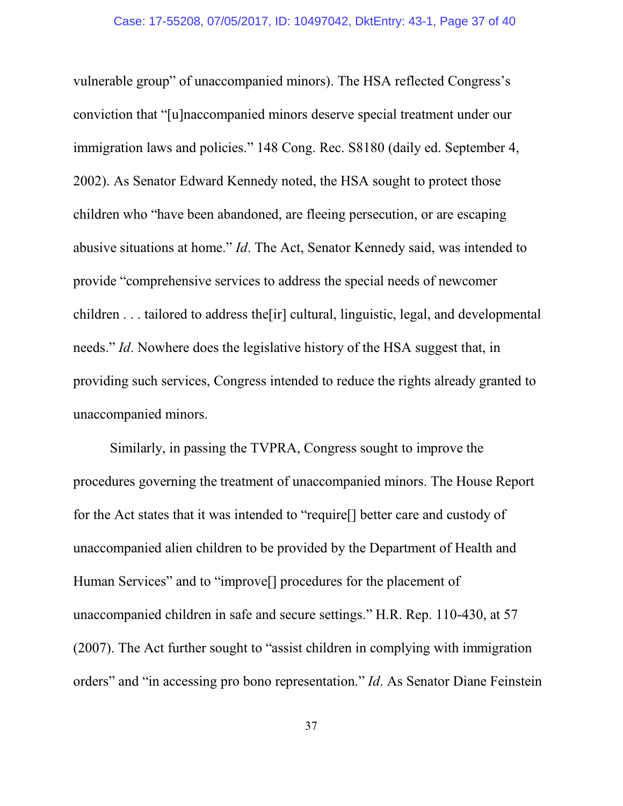vulnerable group" of unaccompanied minors). The HSA reflected Congress's conviction that "[u]naccompanied minors deserve special treatment under our immigration laws and policies." 148 Cong. Rec. S8180 (daily ed. September 4, 2002). As Senator Edward Kennedy noted, the HSA sought to protect those children who "have been abandoned, are fleeing persecution, or are escaping abusive situations at home." *Id*. The Act, Senator Kennedy said, was intended to provide "comprehensive services to address the special needs of newcomer children . . . tailored to address the[ir] cultural, linguistic, legal, and developmental needs." *Id*. Nowhere does the legislative history of the HSA suggest that, in providing such services, Congress intended to reduce the rights already granted to unaccompanied minors.

Similarly, in passing the TVPRA, Congress sought to improve the procedures governing the treatment of unaccompanied minors. The House Report for the Act states that it was intended to "require[] better care and custody of unaccompanied alien children to be provided by the Department of Health and Human Services" and to "improve[] procedures for the placement of unaccompanied children in safe and secure settings." H.R. Rep. 110-430, at 57 (2007). The Act further sought to "assist children in complying with immigration orders" and "in accessing pro bono representation." *Id*. As Senator Diane Feinstein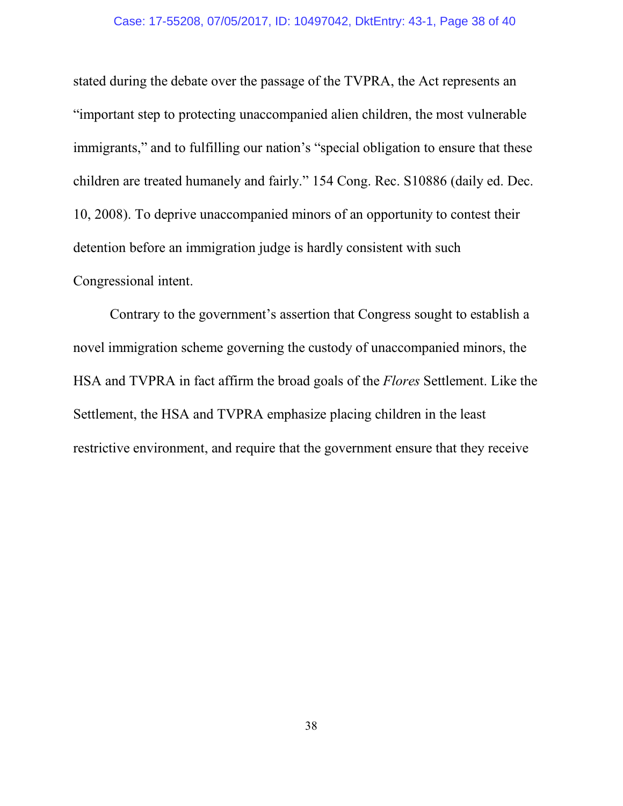### Case: 17-55208, 07/05/2017, ID: 10497042, DktEntry: 43-1, Page 38 of 40

stated during the debate over the passage of the TVPRA, the Act represents an "important step to protecting unaccompanied alien children, the most vulnerable immigrants," and to fulfilling our nation's "special obligation to ensure that these children are treated humanely and fairly." 154 Cong. Rec. S10886 (daily ed. Dec. 10, 2008). To deprive unaccompanied minors of an opportunity to contest their detention before an immigration judge is hardly consistent with such Congressional intent.

Contrary to the government's assertion that Congress sought to establish a novel immigration scheme governing the custody of unaccompanied minors, the HSA and TVPRA in fact affirm the broad goals of the *Flores* Settlement. Like the Settlement, the HSA and TVPRA emphasize placing children in the least restrictive environment, and require that the government ensure that they receive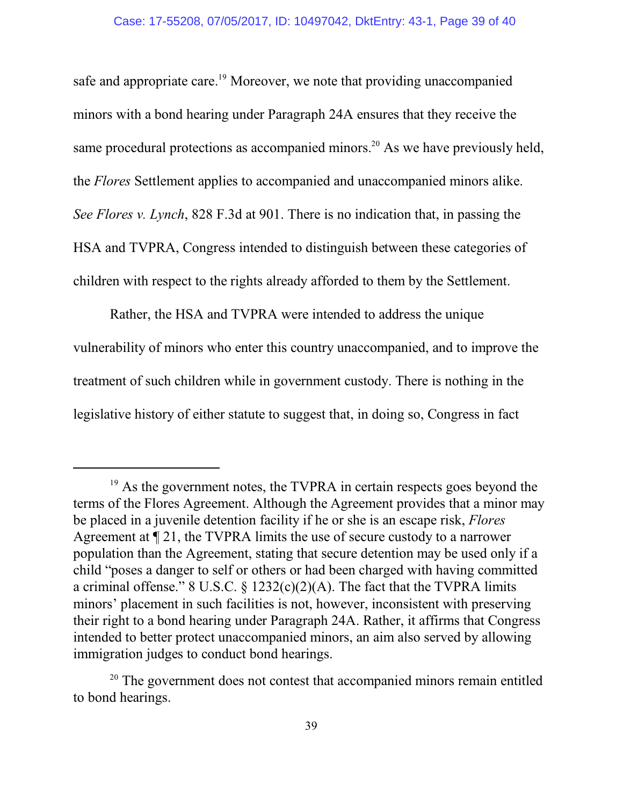safe and appropriate care.<sup>19</sup> Moreover, we note that providing unaccompanied minors with a bond hearing under Paragraph 24A ensures that they receive the same procedural protections as accompanied minors.<sup>20</sup> As we have previously held, the *Flores* Settlement applies to accompanied and unaccompanied minors alike. *See Flores v. Lynch*, 828 F.3d at 901. There is no indication that, in passing the HSA and TVPRA, Congress intended to distinguish between these categories of children with respect to the rights already afforded to them by the Settlement.

Rather, the HSA and TVPRA were intended to address the unique vulnerability of minors who enter this country unaccompanied, and to improve the treatment of such children while in government custody. There is nothing in the legislative history of either statute to suggest that, in doing so, Congress in fact

<sup>&</sup>lt;sup>19</sup> As the government notes, the TVPRA in certain respects goes beyond the terms of the Flores Agreement. Although the Agreement provides that a minor may be placed in a juvenile detention facility if he or she is an escape risk, *Flores* Agreement at ¶ 21, the TVPRA limits the use of secure custody to a narrower population than the Agreement, stating that secure detention may be used only if a child "poses a danger to self or others or had been charged with having committed a criminal offense." 8 U.S.C.  $\S$  1232(c)(2)(A). The fact that the TVPRA limits minors' placement in such facilities is not, however, inconsistent with preserving their right to a bond hearing under Paragraph 24A. Rather, it affirms that Congress intended to better protect unaccompanied minors, an aim also served by allowing immigration judges to conduct bond hearings.

<sup>&</sup>lt;sup>20</sup> The government does not contest that accompanied minors remain entitled to bond hearings.